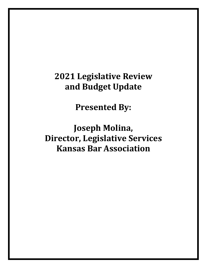# **2021 Legislative Review and Budget Update**

**Presented By:**

**Joseph Molina, Director, Legislative Services Kansas Bar Association**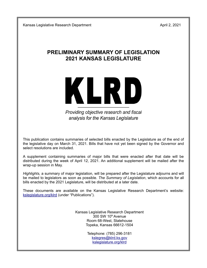# **PRELIMINARY SUMMARY OF LEGISLATION 2021 KANSAS LEGISLATURE**



Providing objective research and fiscal analysis for the Kansas Legislature

This publication contains summaries of selected bills enacted by the Legislature as of the end of the legislative day on March 31, 2021. Bills that have not yet been signed by the Governor and select resolutions are included.

A supplement containing summaries of major bills that were enacted after that date will be distributed during the week of April 12, 2021. An additional supplement will be mailed after the wrap-up session in May.

*Highlights,* a summary of major legislation, will be prepared after the Legislature adjourns and will be mailed to legislators as soon as possible. *The Summary of Legislation*, which accounts for all bills enacted by the 2021 Legislature, will be distributed at a later date.

These documents are available on the Kansas Legislative Research Department's website: kslegislature.org/klrd (under "Publications").

> Kansas Legislative Research Department  $300$  SW  $10<sup>th</sup>$  Avenue Room 68-West, Statehouse Topeka, Kansas 66612-1504

> > Telephone: (785) 296-3181 kslegres@klrd.ks.gov kslegislature.org/klrd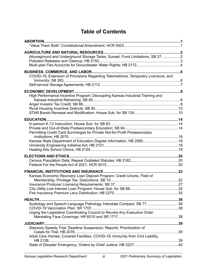# **Table of Contents**

| <b>ABORTION</b>                                                                                                                                           |  |
|-----------------------------------------------------------------------------------------------------------------------------------------------------------|--|
| Aboveground and Underground Storage Tanks; Sunset; Fund Limitations; SB 272                                                                               |  |
| COVID-19; Extension of Provisions Regarding Telemedicine, Temporary Licensure, and                                                                        |  |
| High Performance Incentive Program; Decoupling Kansas Industrial Training and                                                                             |  |
| Permitting Credit Card Surcharges for Private Not-for-Profit Postsecondary<br>Kansas State Department of Education Degree Information; HB 208518          |  |
|                                                                                                                                                           |  |
| Kansas Economic Recovery Loan Deposit Program; Credit Unions, Field of                                                                                    |  |
| Audiology and Speech-Language Pathology Interstate Compact; SB 7736<br>Urging the Legislative Coordinating Council to Revoke Any Executive Order          |  |
| Statutory Speedy Trial; Deadline Suspension; Reports; Prioritization of<br>Adult Care Homes; Covered Facilities; COVID-19; Immunity from Civil Liability; |  |
|                                                                                                                                                           |  |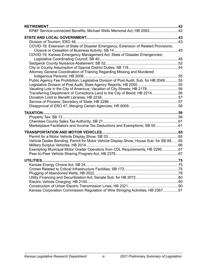| <b>RETIREMENT</b>                                                                     |  |
|---------------------------------------------------------------------------------------|--|
| KP&F Service-connected Benefits; Michael Wells Memorial Act; HB 206342                |  |
|                                                                                       |  |
|                                                                                       |  |
| COVID-19; Extension of State of Disaster Emergency; Extension of Related Provisions;  |  |
|                                                                                       |  |
| COVID-19; Kansas Emergency Management Act; State of Disaster Emergencies;             |  |
|                                                                                       |  |
|                                                                                       |  |
|                                                                                       |  |
| Attorney General Coordination of Training Regarding Missing and Murdered              |  |
|                                                                                       |  |
| Public Agency Fee Prohibition; Legislative Division of Post Audit; Sub. for HB 204955 |  |
|                                                                                       |  |
| Vacating Lots in the City of Americus; Vacation of City Streets; HB 217856            |  |
| Transferring Department of Corrections Land to the City of Beloit; HB 221456          |  |
|                                                                                       |  |
|                                                                                       |  |
|                                                                                       |  |
|                                                                                       |  |
|                                                                                       |  |
|                                                                                       |  |
| Marketplace Facilitators and Income Tax Deductions and Exemptions; SB 5061            |  |
|                                                                                       |  |
|                                                                                       |  |
| Vehicle Dealer Bonding; Permit for Motor Vehicle Display Show; House Sub. for SB 9965 |  |
|                                                                                       |  |
| Exempting Municipal Motor Grader Operators from CDL Requirements; HB 229567           |  |
|                                                                                       |  |
| <b>UTILITIES</b>                                                                      |  |
|                                                                                       |  |
|                                                                                       |  |
|                                                                                       |  |
|                                                                                       |  |
|                                                                                       |  |
|                                                                                       |  |
| Kansas Corporation Commission Regulation of Wire Stringing Activities; HB 236791      |  |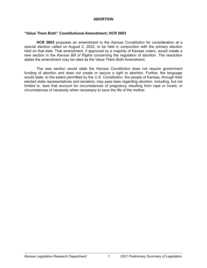# **ABORTION**

# <span id="page-5-0"></span>**"Value Them Both" Constitutional Amendment; HCR 5003**

**HCR 5003** proposes an amendment to the *Kansas Constitution* for consideration at a special election called on August 2, 2022, to be held in conjunction with the primary election held on that date. That amendment, if approved by a majority of Kansas voters, would create a new section in the *Kansas Bill of Rights* concerning the regulation of abortion. The resolution states the amendment may be cited as the Value Them Both Amendment.

The new section would state the *Kansas Constitution* does not require government funding of abortion and does not create or secure a right to abortion. Further, the language would state, to the extent permitted by the *U.S. Constitution*, the people of Kansas, through their elected state representatives and senators, may pass laws regarding abortion, including, but not limited to, laws that account for circumstances of pregnancy resulting from rape or incest, or circumstances of necessity when necessary to save the life of the mother.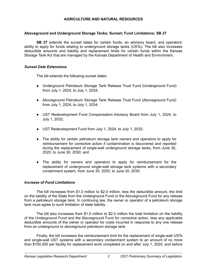# **AGRICULTURE AND NATURAL RESOURCES**

# <span id="page-6-0"></span>**Aboveground and Underground Storage Tanks; Sunset; Fund Limitations; SB 27**

**SB 27** extends the sunset dates for certain funds, an advisory board, and operators' ability to apply for funds relating to underground storage tanks (USTs). The bill also increases deductible amounts and liability and replacement limits for certain funds within the Kansas Storage Tank Act that are managed by the Kansas Department of Health and Environment.

# *Sunset Date Extensions*

The bill extends the following sunset dates:

- Underground Petroleum Storage Tank Release Trust Fund (Underground Fund) from July 1, 2024, to July 1, 2034;
- Aboveground Petroleum Storage Tank Release Trust Fund (Aboveground Fund) from July 1, 2024, to July 1, 2034;
- UST Redevelopment Fund Compensation Advisory Board from July 1, 2024, to July 1, 2032;
- UST Redevelopment Fund from July 1, 2024, to July 1, 2032;
- The ability for certain petroleum storage tank owners and operators to apply for reimbursement for corrective action if contamination is discovered and reported during the replacement of single-wall underground storage tanks, from June 30, 2020, to June 30, 2030; and
- The ability for owners and operators to apply for reimbursement for the replacement of underground single-wall storage tank systems with a secondary containment system, from June 30, 2020, to June 30, 2030.

# *Increase of Fund Limitations*

The bill increases from \$1.0 million to \$2.0 million, less the deductible amount, the limit on the liability of the State from the Underground Fund or the Aboveground Fund for any release from a petroleum storage tank. In continuing law, the owner or operator of a petroleum storage tank must agree to such limitation of state liability.

The bill also increases from \$1.0 million to \$2.0 million the total limitation on the liability of the Underground Fund and the Aboveground Fund for corrective action, less any applicable deductible amounts of the owner or operator for costs incurred in response to any one release from an underground or aboveground petroleum storage tank.

Finally, the bill increases the reimbursement limit for the replacement of single-wall USTs and single-wall UST systems with a secondary containment system to an amount of no more than \$100,000 per facility for replacement work completed on and after July 1, 2020, and before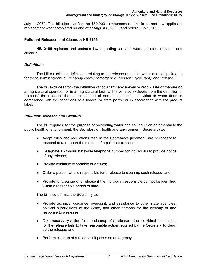<span id="page-7-0"></span>July 1, 2030. The bill also clarifies the \$50,000 reimbursement limit in current law applies to replacement work completed on and after August 8, 2005, and before July 1, 2020.

# **Pollutant Releases and Cleanup; HB 2155**

**HB 2155** replaces and updates law regarding soil and water pollutant releases and cleanup.

# *Definitions*

The bill establishes definitions relating to the release of certain water and soil pollutants for these terms: "cleanup," "cleanup costs," "emergency," "person," "pollutant," and "release."

The bill excludes from the definition of "pollutant" any animal or crop waste or manure on an agricultural operation or in an agricultural facility. The bill also excludes from the definition of "release" the releases that occur as part of normal agricultural activities or when done in compliance with the conditions of a federal or state permit or in accordance with the product label.

# *Pollutant Releases and Cleanup*

The bill requires, for the purpose of preventing water and soil pollution detrimental to the public health or environment, the Secretary of Health and Environment (Secretary) to:

- Adopt rules and regulations that, in the Secretary's judgment, are necessary to respond to and report the release of a pollutant (release);
- Designate a 24-hour statewide telephone number for individuals to provide notice of any release;
- Provide minimum reportable quantities;
- Order a person who is responsible for a release to clean up such release; and
- Provide for cleanup of a release if the individual responsible cannot be identified within a reasonable period of time.

The bill also permits the Secretary to:

- Provide technical guidance, oversight, and assistance to other state agencies, political subdivisions of the State, and other persons for the cleanup of and response to a release;
- Take necessary action for the cleanup of a release if the individual responsible for the release fails to take reasonable action required by the Secretary to clean up the release; and
- Perform cleanup of a release if it poses an emergency.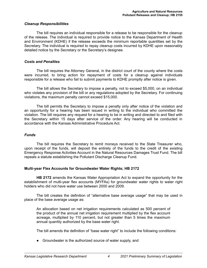#### <span id="page-8-0"></span>*Cleanup Responsibilities*

The bill requires an individual responsible for a release to be responsible for the cleanup of the release. The individual is required to provide notice to the Kansas Department of Health and Environment (KDHE) if the release exceeds the minimum reportable quantities set by the Secretary. The individual is required to repay cleanup costs incurred by KDHE upon reasonably detailed notice by the Secretary or the Secretary's designee.

# *Costs and Penalties*

The bill requires the Attorney General, in the district court of the county where the costs were incurred, to bring action for repayment of costs for a cleanup against individuals responsible for a release who fail to submit payments to KDHE promptly after notice is given.

The bill allows the Secretary to impose a penalty, not to exceed \$5,000, on an individual who violates any provision of the bill or any regulations adopted by the Secretary. For continuing violations, the maximum penalty cannot exceed \$15,000.

The bill permits the Secretary to impose a penalty only after notice of the violation and an opportunity for a hearing has been issued in writing to the individual who committed the violation. The bill requires any request for a hearing to be in writing and directed to and filed with the Secretary within 15 days after service of the order. Any hearing will be conducted in accordance with the Kansas Administrative Procedure Act.

#### *Funds*

The bill requires the Secretary to remit moneys received to the State Treasurer who, upon receipt of the funds, will deposit the entirety of the funds to the credit of the existing Emergency Response Activities Account in the Natural Resources Damages Trust Fund. The bill repeals a statute establishing the Pollutant Discharge Cleanup Fund.

# **Multi-year Flex Accounts for Groundwater Water Rights; HB 2172**

**HB 2172** amends the Kansas Water Appropriation Act to expand the opportunity for the establishment of multi-year flex accounts (MYFAs) for groundwater water rights to water right holders who did not have water use between 2000 and 2009.

The bill creates the definition of "alternative base average usage" that may be used in place of the base average usage as:

An allocation based on net irrigation requirements calculated as 500 percent of the product of the annual net irrigation requirement multiplied by the flex account acreage, multiplied by 110 percent, but not greater than 5 times the maximum annual quantity authorized by the base water right.

The bill amends the definition of "base water right" to include the following conditions:

• Groundwater is the authorized source of water supply, and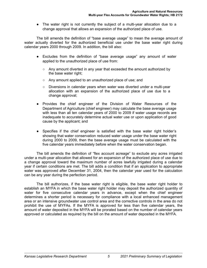● The water right is not currently the subject of a multi-year allocation due to a change approval that allows an expansion of the authorized place of use.

The bill amends the definition of "base average usage" to mean the average amount of water actually diverted for the authorized beneficial use under the base water right during calendar years 2000 through 2009. In addition, the bill also:

- Excludes from the definition of "base average usage" any amount of water applied to the unauthorized place of use from:
	- $\circ$  Any amount diverted in any year that exceeded the amount authorized by the base water right;
	- Any amount applied to an unauthorized place of use; and
	- Diversions in calendar years when water was diverted under a multi-year allocation with an expansion of the authorized place of use due to a change approval;
- Provides the chief engineer of the Division of Water Resources of the Department of Agriculture (chief engineer) may calculate the base average usage with less than all ten calendar years of 2000 to 2009 if water usage records are inadequate to accurately determine actual water use or upon application of good cause by the applicant; and
- Specifies if the chief engineer is satisfied with the base water right holder's showing that water conservation reduced water usage under the base water right during 2000 to 2009, then the base average usage must be calculated with the five calendar years immediately before when the water conservation began.

The bill amends the definition of "flex account acreage" to exclude any acres irrigated under a multi-year allocation that allowed for an expansion of the authorized place of use due to a change approval toward the maximum number of acres lawfully irrigated during a calendar year if certain conditions are met. The bill adds a condition that if an application to appropriate water was approved after December 31, 2004, then the calendar year used for the calculation can be any year during the perfection period.

The bill authorizes, if the base water right is eligible, the base water right holder to establish an MYFA in which the base water right holder may deposit the authorized quantity of water for five consecutive calendar years in advance, except when the chief engineer determines a shorter period is necessary for compliance with a local enhanced management area or an intensive groundwater use control area and the corrective controls in the area do not prohibit the use of MYFAs. If the MYFA is approved for less than five calendar years, the amount of water deposited in the MYFA will be prorated based on the number of calendar years approved or calculated as required by the bill on the amount of water deposited in the MYFA.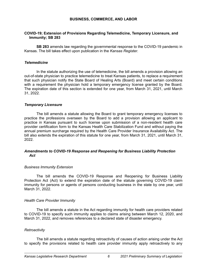# **BUSINESS, COMMERCE, AND LABOR**

# <span id="page-10-0"></span>**COVID-19; Extension of Provisions Regarding Telemedicine, Temporary Licensure, and Immunity; SB 283**

**SB 283** amends law regarding the governmental response to the COVID-19 pandemic in Kansas. The bill takes effect upon publication in the *Kansas Register*.

#### *Telemedicine*

In the statute authorizing the use of telemedicine, the bill amends a provision allowing an out-of-state physician to practice telemedicine to treat Kansas patients, to replace a requirement that such physician notify the State Board of Healing Arts (Board) and meet certain conditions with a requirement the physician hold a temporary emergency license granted by the Board. The expiration date of this section is extended for one year, from March 31, 2021, until March 31, 2022.

#### *Temporary Licensure*

The bill amends a statute allowing the Board to grant temporary emergency licenses to practice the professions overseen by the Board to add a provision allowing an applicant to practice in Kansas pursuant to such license upon submission of a non-resident health care provider certification form to the Kansas Health Care Stabilization Fund and without paying the annual premium surcharge required by the Health Care Provider Insurance Availability Act. The bill also extends the expiration of this statute for one year, from March 31, 2021, until March 31, 2022.

#### *Amendments to COVID-19 Response and Reopening for Business Liability Protection Act*

#### *Business Immunity Extension*

The bill amends the COVID-19 Response and Reopening for Business Liability Protection Act (Act) to extend the expiration date of the statute governing COVID-19 claim immunity for persons or agents of persons conducting business in the state by one year, until March 31, 2022.

#### *Health Care Provider Immunity*

The bill amends a statute in the Act regarding immunity for health care providers related to COVID-19 to specify such immunity applies to claims arising between March 12, 2020, and March 31, 2022, and removes references to a declared state of disaster emergency.

#### *Retroactivity*

The bill amends a statute regarding retroactivity of causes of action arising under the Act to specify the provisions related to health care provider immunity apply retroactively to any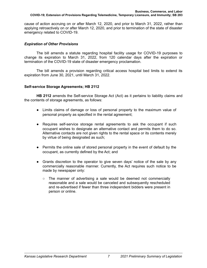<span id="page-11-0"></span>cause of action accruing on or after March 12, 2020, and prior to March 31, 2022, rather than applying retroactively on or after March 12, 2020, and prior to termination of the state of disaster emergency related to COVID-19.

# *Expiration of Other Provisions*

The bill amends a statute regarding hospital facility usage for COVID-19 purposes to change its expiration to March 31, 2022, from 120 calendar days after the expiration or termination of the COVID-19 state of disaster emergency proclamation.

The bill amends a provision regarding critical access hospital bed limits to extend its expiration from June 30, 2021, until March 31, 2022.

# **Self-service Storage Agreements; HB 2112**

**HB 2112** amends the Self-service Storage Act (Act) as it pertains to liability claims and the contents of storage agreements, as follows:

- Limits claims of damage or loss of personal property to the maximum value of personal property as specified in the rental agreement;
- Requires self-service storage rental agreements to ask the occupant if such occupant wishes to designate an alternative contact and permits them to do so. Alternative contacts are not given rights to the rental space or its contents merely by virtue of being designated as such;
- Permits the online sale of stored personal property in the event of default by the occupant, as currently defined by the Act; and
- Grants discretion to the operator to give seven days' notice of the sale by any commercially reasonable manner. Currently, the Act requires such notice to be made by newspaper only:
	- $\circ$  The manner of advertising a sale would be deemed not commercially reasonable and a sale would be canceled and subsequently rescheduled and re-advertised if fewer than three independent bidders were present in person or online.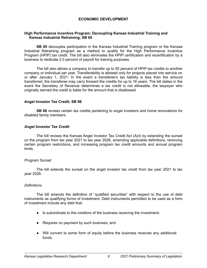# **ECONOMIC DEVELOPMENT**

# <span id="page-12-0"></span>**High Performance Incentive Program; Decoupling Kansas Industrial Training and Kansas Industrial Retraining; SB 65**

**SB 65** decouples participation in the Kansas Industrial Training program or the Kansas Industrial Retraining program as a method to qualify for the High Performance Incentive Program (HPIP) tax credit. The bill also eliminates the HPIP certification and recertification by a business to dedicate 2.0 percent of payroll for training purposes.

The bill also allows a company to transfer up to 50 percent of HPIP tax credits to another company or individual per year. Transferability is allowed only for projects placed into service on or after January 1, 2021. In the event a transferee's tax liability is less than the amount transferred, the transferee may carry forward the credits for up to 16 years. The bill states in the event the Secretary of Revenue determines a tax credit is not allowable, the taxpayer who originally earned the credit is liable for the amount that is disallowed.

#### **Angel Investor Tax Credit; SB 66**

**SB 66** revises certain tax credits pertaining to angel investors and home renovations for disabled family members.

# *Angel Investor Tax Credit*

The bill revises the Kansas Angel Investor Tax Credit Act (Act) by extending the sunset on the program from tax year 2021 to tax year 2026, amending applicable definitions, removing certain program restrictions, and increasing program tax credit amounts and annual program limits.

# *Program Sunset*

The bill extends the sunset on the angel investor tax credit from tax year 2021 to tax year 2026.

#### *Definitions*

The bill amends the definition of "qualified securities" with respect to the use of debt instruments as qualifying forms of investment. Debt instruments permitted to be used as a form of investment include any debt that:

- Is subordinate to the creditors of the business receiving the investment;
- Requires no payment by such business; and
- Will convert to some form of equity before the business receives any additional funds.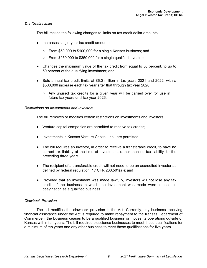# *Tax Credit Limits*

The bill makes the following changes to limits on tax credit dollar amounts:

- Increases single-year tax credit amounts:
	- From \$50,000 to \$100,000 for a single Kansas business; and
	- $\circ$  From \$250,000 to \$350,000 for a single qualified investor;
- Changes the maximum value of the tax credit from equal to 50 percent, to up to 50 percent of the qualifying investment; and
- Sets annual tax credit limits at \$6.0 million in tax years 2021 and 2022, with a \$500,000 increase each tax year after that through tax year 2026:
	- Any unused tax credits for a given year will be carried over for use in future tax years until tax year 2026.

#### *Restrictions on Investments and Investors*

The bill removes or modifies certain restrictions on investments and investors:

- Venture capital companies are permitted to receive tax credits;
- Investments in Kansas Venture Capital, Inc., are permitted;
- The bill requires an investor, in order to receive a transferable credit, to have no current tax liability at the time of investment, rather than no tax liability for the preceding three years;
- The recipient of a transferable credit will not need to be an accredited investor as defined by federal regulation (17 CFR 230.501(a)); and
- Provided that an investment was made lawfully, investors will not lose any tax credits if the business in which the investment was made were to lose its designation as a qualified business.

# *Clawback Provision*

The bill modifies the clawback provision in the Act. Currently, any business receiving financial assistance under the Act is required to make repayment to the Kansas Department of Commerce if the business ceases to be a qualified business or moves its operations outside of Kansas within ten years. The bill requires bioscience businesses to meet these qualifications for a minimum of ten years and any other business to meet these qualifications for five years.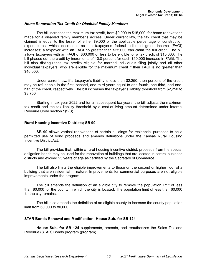#### <span id="page-14-0"></span>*Home Renovation Tax Credit for Disabled Family Members*

The bill increases the maximum tax credit, from \$9,000 to \$15,000, for home renovations made for a disabled family member's access. Under current law, the tax credit that may be claimed is equal to the lesser of either \$9,000 or the applicable percentage of construction expenditures, which decreases as the taxpayer's federal adjusted gross income (FAGI) increases; a taxpayer with an FAGI no greater than \$25,000 can claim the full credit. The bill allows taxpayers with an FAGI of \$60,000 or less to be eligible for a tax credit of \$15,000. The bill phases out the credit by increments of 10.0 percent for each \$10,000 increase in FAGI. The bill also distinguishes tax credits eligible for married individuals filing jointly and all other individual taxpayers, who are eligible for the maximum credit if their FAGI is no greater than \$40,000.

Under current law, if a taxpayer's liability is less than \$2,250, then portions of the credit may be refundable in the first, second, and third years equal to one-fourth, one-third, and onehalf of the credit, respectively. The bill increases the taxpayer's liability threshold from \$2,250 to \$3,750.

Starting in tax year 2022 and for all subsequent tax years, the bill adjusts the maximum tax credit and the tax liability threshold by a cost-of-living amount determined under Internal Revenue Code section 1(f)(3).

#### **Rural Housing Incentive Districts; SB 90**

**SB 90** allows vertical renovations of certain buildings for residential purposes to be a permitted use of bond proceeds and amends definitions under the Kansas Rural Housing Incentive District Act.

The bill provides that, within a rural housing incentive district, proceeds from the special obligation bonds may be used for the renovation of buildings that are located in central business districts and exceed 25 years of age as certified by the Secretary of Commerce.

The bill also limits the eligible improvements to those on the second or higher floor of a building that are residential in nature. Improvements for commercial purposes are not eligible improvements under the program.

The bill amends the definition of an eligible city to remove the population limit of less than 80,000 for the county in which the city is located. The population limit of less than 60,000 for the city remains.

The bill also amends the definition of an eligible county to increase the county population limit from 60,000 to 80,000.

#### **STAR Bonds Renewal and Modification; House Sub. for SB 124**

**House Sub. for SB 124** supplements, amends, and reauthorizes the Sales Tax and Revenue (STAR) Bonds program (program).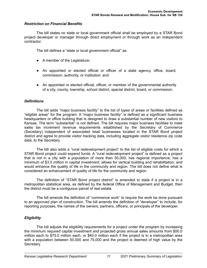#### *Restriction on Financial Benefits*

The bill states no state or local government official shall be employed by a STAR Bond project developer or manager through direct employment or through work as an independent contractor.

The bill defines a "state or local government official" as:

- A member of the Legislature;
- An appointed or elected official or officer of a state agency, office, board, commission, authority, or institution; and
- An appointed or elected official, officer, or member of the governmental authority of a city, county, township, school district, special district, board, or commission.

#### *Definitions*

The bill adds "major business facility" to the list of types of areas or facilities defined as "eligible areas" for the program. A "major business facility" is defined as a significant business headquarters or office building that is designed to draw a substantial number of new visitors to Kansas. The term "substantial" is not defined. The bill requires major business facilities to meet sales tax increment revenue requirements established by the Secretary of Commerce (Secretary) independent of associated retail businesses located in the STAR Bond project district and agree to provide visitor tracking data, including aggregate visitor residence zip code data, to the Secretary.

The bill also adds a "rural redevelopment project" to the list of eligible costs for which a STAR Bond project could expend funds. A "rural redevelopment project" is defined as a project that is not in a city with a population of more than 50,000; has regional importance; has a minimum of \$3.0 million in capital investment; allows for vertical building and rehabilitation; and would enhance the quality of life in the community and region. The bill does not define what is considered an enhancement of quality of life for the community and region.

The definition of "STAR Bond project district" is amended to state if a project is in a metropolitan statistical area, as defined by the federal Office of Management and Budget, then the district must be a contiguous parcel of real estate.

The bill amends the definition of "commence work" to require the work be done pursuant to an approved plan of construction. The bill amends the definition of "developer" to include, for reporting purposes, the names of the owners, partners, officers, or principals of the developer.

# *Eligibility*

The bill adjusts the eligibility requirements for a project under the program by increasing the minimum required capital investment and projected gross annual sales amounts from \$50.0 million each to \$75.0 million each, or \$40.0 million each if the project is in a metropolitan area with a population between 50,000 and 75,000 and the project is deemed of high value by the Secretary.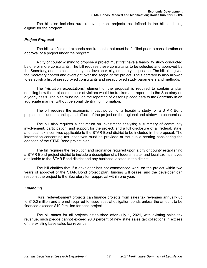The bill also includes rural redevelopment projects, as defined in the bill, as being eligible for the program.

# *Project Proposal*

The bill clarifies and expands requirements that must be fulfilled prior to consideration or approval of a project under the program.

A city or county wishing to propose a project must first have a feasibility study conducted by one or more consultants. The bill requires these consultants to be selected and approved by the Secretary, and the costs paid by the developer, city, or county in question. The bill also gives the Secretary control and oversight over the scope of the project. The Secretary is also allowed to establish a list of preapproved consultants and preapproved study parameters and methods.

The "visitation expectations" element of the proposal is required to contain a plan detailing how the project's number of visitors would be tracked and reported to the Secretary on a yearly basis. The plan must include the reporting of visitor zip code data to the Secretary in an aggregate manner without personal identifying information.

The bill requires the economic impact portion of a feasibility study for a STAR Bond project to include the anticipated effects of the project on the regional and statewide economies.

The bill also requires a net return on investment analysis; a summary of community involvement, participation, and support for the project; and a full disclosure of all federal, state, and local tax incentives applicable to the STAR Bond district to be included in the proposal. The information concerning tax incentives must be provided at the public hearing considering the adoption of the STAR Bond project plan.

The bill requires the resolution and ordinance required upon a city or county establishing a STAR Bond project district to include a description of all federal, state, and local tax incentives applicable to the STAR Bond district and any business located in the district.

The bill clarifies that if a developer has not commenced work on the project within two years of approval of the STAR Bond project plan, funding will cease, and the developer can resubmit the project to the Secretary for reapproval within one year.

# *Financing*

Rural redevelopment projects can finance projects from sales tax revenues annually up to \$10.0 million and are not required to issue special obligation bonds unless the amount to be financed exceeds \$10.0 million for each project.

The bill states for all projects established after July 1, 2021, with existing sales tax revenue, such pledge cannot exceed 90.0 percent of new state sales tax collections in excess of the existing base sales tax revenue.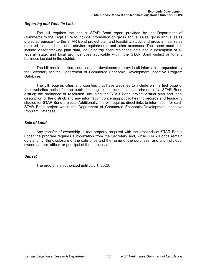#### *Reporting and Website Links*

The bill requires the annual STAR Bond report provided by the Department of Commerce to the Legislature to include information on gross annual sales, gross annual sales projected pursuant to the STAR Bond project plan and feasibility study, and gross annual sales required to meet bond debt service requirements and other expenses. The report must also include visitor tracking plan data, including zip code residence data and a description of all federal, state, and local tax incentives applicable within the STAR Bond district or to any business located in the district.

The bill requires cities, counties, and developers to provide all information requested by the Secretary for the Department of Commerce Economic Development Incentive Program Database.

The bill requires cities and counties that have websites to include on the first page of their websites notice for the public hearing to consider the establishment of a STAR Bond district; the ordinance or resolution, including the STAR Bond project district plan and legal description of the district; and any information concerning public hearing records and feasibility studies for STAR Bond projects. Additionally, the bill requires direct links to information for each STAR Bond project within the Department of Commerce Economic Development Incentive Program Database.

#### *Sale of Land*

Any transfer of ownership in real property acquired with the proceeds of STAR Bonds under the program requires authorization from the Secretary and, while STAR Bonds remain outstanding, the disclosure of the sale price and the name of the purchaser and any individual owner, partner, officer, or principal of the purchaser.

#### *Sunset*

The program is authorized until July 1, 2026.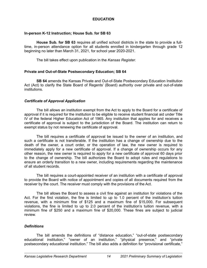# **EDUCATION**

# <span id="page-18-0"></span>**In-person K-12 Instruction; House Sub. for SB 63**

**House Sub. for SB 63** requires all unified school districts in the state to provide a fulltime, in-person attendance option for all students enrolled in kindergarten through grade 12 beginning no later than March 31, 2021, for school year 2020-2021.

The bill takes effect upon publication in the *Kansas Register*.

# **Private and Out-of-State Postsecondary Education; SB 64**

**SB 64** amends the Kansas Private and Out-of-State Postsecondary Education Institution Act (Act) to clarify the State Board of Regents' (Board) authority over private and out-of-state institutions.

#### *Certificate of Approval Application*

The bill allows an institution exempt from the Act to apply to the Board for a certificate of approval if it is required for the institution to be eligible to receive student financial aid under Title IV of the federal Higher Education Act of 1965. Any institution that applies for and receives a certificate of approval is subject to the jurisdiction of the Board. The institution can return to exempt status by not renewing the certificate of approval.

The bill requires a certificate of approval be issued to the owner of an institution, and such a certificate is not transferable. If the institution has a change of ownership due to the death of the owner, a court order, or the operation of law, the new owner is required to immediately apply for a new certificate of approval. If a change of ownership occurs for any other reason, the new owner is required to apply for a new certificate of approval 60 days prior to the change of ownership. The bill authorizes the Board to adopt rules and regulations to ensure an orderly transition to a new owner, including requirements regarding the maintenance of all student records.

The bill requires a court-appointed receiver of an institution with a certificate of approval to provide the Board with notice of appointment and copies of all documents required from the receiver by the court. The receiver must comply with the provisions of the Act.

The bill allows the Board to assess a civil fine against an institution for violations of the Act. For the first violation, the fine is limited to up to 1.0 percent of the institution's tuition revenue, with a minimum fine of \$125 and a maximum fine of \$15,000. For subsequent violations, the fine is limited to up to 2.0 percent of the institution's tuition revenue, with a minimum fine of \$250 and a maximum fine of \$20,000. These fines are subject to judicial review.

# *Definitions*

The bill amends the definitions of "distance education," "out-of-state postsecondary educational institution," "owner of an institution," "physical presence," and "private postsecondary educational institution." The bill also adds a definition for "provisional certificate,"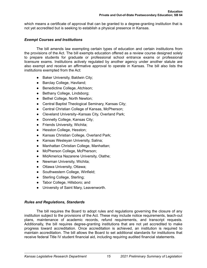which means a certificate of approval that can be granted to a degree-granting institution that is not yet accredited but is seeking to establish a physical presence in Kansas.

# *Exempt Courses and Institutions*

The bill amends law exempting certain types of education and certain institutions from the provisions of the Act. The bill exempts education offered as a review course designed solely to prepare students for graduate or professional school entrance exams or professional licensure exams. Institutions actively regulated by another agency under another statute are also exempt and receive an affirmative approval to operate in Kansas. The bill also lists the institutions exempted from the Act:

- Baker University, Baldwin City;
- Barclay College, Haviland;
- Benedictine College, Atchison;
- Bethany College, Lindsborg;
- Bethel College, North Newton;
- Central Baptist Theological Seminary, Kansas City;
- Central Christian College of Kansas, McPherson;
- Cleveland University–Kansas City, Overland Park;
- Donnelly College, Kansas City;
- Friends University, Wichita;
- Hesston College, Hesston;
- Kansas Christian College, Overland Park;
- Kansas Wesleyan University, Salina;
- Manhattan Christian College, Manhattan;
- McPherson College, McPherson;
- MidAmerica Nazarene University, Olathe;
- Newman University, Wichita;
- Ottawa University, Ottawa;
- Southwestern College, Winfield;
- Sterling College, Sterling;
- Tabor College, Hillsboro; and
- University of Saint Mary, Leavenworth.

# *Rules and Regulations, Standards*

The bill requires the Board to adopt rules and regulations governing the closure of any institution subject to the provisions of the Act. These may include notice requirements, teach-out plans, maintenance of academic records, refund requirements, and transcript requests. Additionally, the bill requires degree-granting institutions that are not yet accredited to make progress toward accreditation. Once accreditation is achieved, an institution is required to maintain accreditation. The bill allows the Board to set additional standards for institutions that receive federal Title IV student financial aid, including requiring audited financial statements.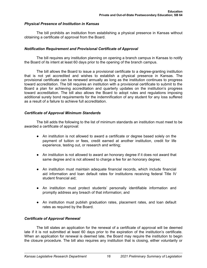# *Physical Presence of Institution in Kansas*

The bill prohibits an institution from establishing a physical presence in Kansas without obtaining a certificate of approval from the Board.

#### *Notification Requirement and Provisional Certificate of Approval*

The bill requires any institution planning on opening a branch campus in Kansas to notify the Board of its intent at least 60 days prior to the opening of the branch campus.

The bill allows the Board to issue a provisional certificate to a degree-granting institution that is not yet accredited and wishes to establish a physical presence in Kansas. The provisional certificate can be renewed annually as long as the institution continues to progress toward accreditation. The bill requires an institution with a provisional certificate to submit to the Board a plan for achieving accreditation and quarterly updates on the institution's progress toward accreditation. The bill also allows the Board to adopt rules and regulations imposing additional surety bond requirements for the indemnification of any student for any loss suffered as a result of a failure to achieve full accreditation.

#### *Certificate of Approval Minimum Standards*

The bill adds the following to the list of minimum standards an institution must meet to be awarded a certificate of approval:

- An institution is not allowed to award a certificate or degree based solely on the payment of tuition or fees, credit earned at another institution, credit for life experience, testing out, or research and writing;
- An institution is not allowed to award an honorary degree if it does not award that same degree and is not allowed to charge a fee for an honorary degree;
- An institution must maintain adequate financial records, which include financial aid information and loan default rates for institutions receiving federal Title IV student financial aid;
- An institution must protect students' personally identifiable information and promptly address any breach of that information; and
- An institution must publish graduation rates, placement rates, and loan default rates as required by the Board.

# *Certificate of Approval Renewal*

The bill states an application for the renewal of a certificate of approval will be deemed late if it is not submitted at least 60 days prior to the expiration of the institution's certificate. When an application for renewal is deemed late, the Board may require the institution to begin the closure procedure. The bill also requires any institution that is closing, either voluntarily or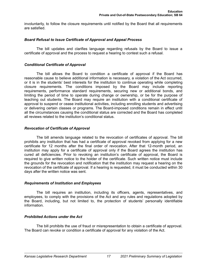involuntarily, to follow the closure requirements until notified by the Board that all requirements are satisfied.

# *Board Refusal to Issue Certificate of Approval and Appeal Process*

The bill updates and clarifies language regarding refusals by the Board to issue a certificate of approval and the process to request a hearing to contest such a refusal.

#### *Conditional Certificate of Approval*

The bill allows the Board to condition a certificate of approval if the Board has reasonable cause to believe additional information is necessary, a violation of the Act occurred, or it is in the students' best interests for the institution to continue operating while completing closure requirements. The conditions imposed by the Board may include reporting requirements, performance standard requirements, securing new or additional bonds, and limiting the period of time to operate during change or ownership, or be for the purpose of teaching out students. The Board may require an institution with a conditional certificate of approval to suspend or cease institutional activities, including enrolling students and advertising or delivering certain classes or programs. The Board-imposed conditions remain in effect until all the circumstances causing the conditional status are corrected and the Board has completed all reviews related to the institution's conditional status.

# *Revocation of Certificate of Approval*

The bill amends language related to the revocation of certificates of approval. The bill prohibits any institution that has had a certificate of approval revoked from applying for a new certificate for 12 months after the final order of revocation. After that 12-month period, an institution may apply for a certificate of approval only if the Board agrees the institution has cured all deficiencies. Prior to revoking an institution's certificate of approval, the Board is required to give written notice to the holder of the certificate. Such written notice must include the grounds for the revocation and notification that the institution may request a hearing on the revocation of the certificate of approval. If a hearing is requested, it must be conducted within 30 days after the written notice was sent.

# *Requirements of Institution and Employees*

The bill requires an institution, including its officers, agents, representatives, and employees, to comply with the provisions of the Act and any rules and regulations adopted by the Board, including, but not limited to, the protection of students' personally identifiable information.

# *Prohibited Actions under the Act*

The bill prohibits the use of fraud or misrepresentation to obtain a certificate of approval. The Board can revoke or condition a certificate of approval for any violation of the Act.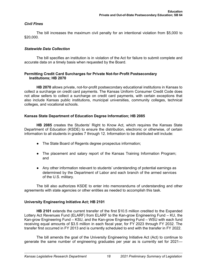# <span id="page-22-0"></span>*Civil Fines*

The bill increases the maximum civil penalty for an intentional violation from \$5,000 to \$20,000.

# *Statewide Data Collection*

The bill specifies an institution is in violation of the Act for failure to submit complete and accurate data on a timely basis when requested by the Board.

# **Permitting Credit Card Surcharges for Private Not-for-Profit Postsecondary Institutions; HB 2070**

**HB 2070** allows private, not-for-profit postsecondary educational institutions in Kansas to collect a surcharge on credit card payments. The Kansas Uniform Consumer Credit Code does not allow sellers to collect a surcharge on credit card payments, with certain exceptions that also include Kansas public institutions, municipal universities, community colleges, technical colleges, and vocational schools.

# **Kansas State Department of Education Degree Information; HB 2085**

**HB 2085** creates the Students' Right to Know Act, which requires the Kansas State Department of Education (KSDE) to ensure the distribution, electronic or otherwise, of certain information to all students in grades 7 through 12. Information to be distributed will include:

- The State Board of Regents degree prospectus information;
- The placement and salary report of the Kansas Training Information Program; and
- Any other information relevant to students' understanding of potential earnings as determined by the Department of Labor and each branch of the armed services of the U.S. military.

The bill also authorizes KSDE to enter into memorandums of understanding and other agreements with state agencies or other entities as needed to accomplish this task.

# **University Engineering Initiative Act; HB 2101**

**HB 2101** extends the current transfer of the first \$10.5 million credited to the Expanded Lottery Act Revenues Fund (ELARF) from ELARF to the Kan-grow Engineering Fund – KU, the Kan-grow Engineering Fund – KSU, and the Kan-grow Engineering Fund – WSU with each fund receiving equal amounts of \$3.5 million in each fiscal year, for FY 2023 through FY 2032. The transfer first occurred in FY 2013 and is currently scheduled to end with the transfer in FY 2022.

The bill amends the goal of the University Engineering Initiative Act (Act) to continue to generate the same number of engineering graduates per year as is currently set for 2021—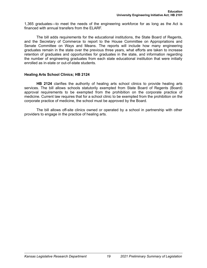<span id="page-23-0"></span>1,365 graduates—to meet the needs of the engineering workforce for as long as the Act is financed with annual transfers from the ELARF.

The bill adds requirements for the educational institutions, the State Board of Regents, and the Secretary of Commerce to report to the House Committee on Appropriations and Senate Committee on Ways and Means. The reports will include how many engineering graduates remain in the state over the previous three years, what efforts are taken to increase retention of graduates and opportunities for graduates in the state, and information regarding the number of engineering graduates from each state educational institution that were initially enrolled as in-state or out-of-state students.

# **Healing Arts School Clinics; HB 2124**

**HB 2124** clarifies the authority of healing arts school clinics to provide healing arts services. The bill allows schools statutorily exempted from State Board of Regents (Board) approval requirements to be exempted from the prohibition on the corporate practice of medicine. Current law requires that for a school clinic to be exempted from the prohibition on the corporate practice of medicine, the school must be approved by the Board.

The bill allows off-site clinics owned or operated by a school in partnership with other providers to engage in the practice of healing arts.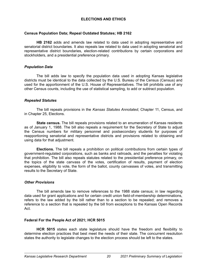# **ELECTIONS AND ETHICS**

#### <span id="page-24-0"></span>**Census Population Data; Repeal Outdated Statutes; HB 2162**

**HB 2162** adds and amends law related to data used in adopting representative and senatorial district boundaries. It also repeals law related to data used in adopting senatorial and representative district boundaries, election-related contributions by certain corporations and stockholders, and a presidential preference primary.

#### *Population Data*

The bill adds law to specify the population data used in adopting Kansas legislative districts must be identical to the data collected by the U.S. Bureau of the Census (Census) and used for the apportionment of the U.S. House of Representatives. The bill prohibits use of any other Census counts, including the use of statistical sampling, to add or subtract population.

#### *Repealed Statutes*

The bill repeals provisions in the *Kansas Statutes Annotated*, Chapter 11, Census, and in Chapter 25, Elections.

**State census.** The bill repeals provisions related to an enumeration of Kansas residents as of January 1, 1988. The bill also repeals a requirement for the Secretary of State to adjust the Census numbers for military personnel and postsecondary students for purposes of reapportioning senatorial and representative districts and provisions related to obtaining and using data for that adjustment.

**Elections.** The bill repeals a prohibition on political contributions from certain types of government-regulated corporations, such as banks and railroads, and the penalties for violating that prohibition. The bill also repeals statutes related to the presidential preference primary, on the topics of the state canvass of the votes, certification of results, payment of election expenses, eligibility to vote, the form of the ballot, county canvasses of votes, and transmitting results to the Secretary of State.

# *Other Provisions*

The bill amends law to remove references to the 1988 state census; in law regarding data used for grant applications and for certain credit union field-of-membership determinations, refers to the law added by the bill rather than to a section to be repealed; and removes a reference to a section that is repealed by the bill from exceptions to the Kansas Open Records Act.

#### **Federal For the People Act of 2021; HCR 5015**

**HCR 5015** states each state legislature should have the freedom and flexibility to determine election practices that best meet the needs of their state. The concurrent resolution states the authority to legislate changes to the election process should be left to the states.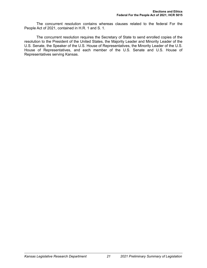The concurrent resolution contains whereas clauses related to the federal For the People Act of 2021, contained in H.R. 1 and S. 1.

The concurrent resolution requires the Secretary of State to send enrolled copies of the resolution to the President of the United States, the Majority Leader and Minority Leader of the U.S. Senate, the Speaker of the U.S. House of Representatives, the Minority Leader of the U.S. House of Representatives, and each member of the U.S. Senate and U.S. House of Representatives serving Kansas.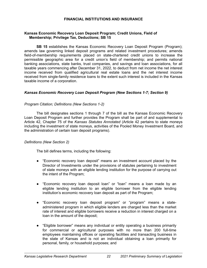# **FINANCIAL INSTITUTIONS AND INSURANCE**

# <span id="page-26-0"></span>**Kansas Economic Recovery Loan Deposit Program; Credit Unions, Field of Membership; Privilege Tax, Deductions; SB 15**

**SB 15** establishes the Kansas Economic Recovery Loan Deposit Program (Program); amends law governing linked deposit programs and related investment procedures; amends field-of-membership requirements placed on state-chartered credit unions to increase the permissible geographic area for a credit union's field of membership; and permits national banking associations, state banks, trust companies, and savings and loan associations, for all taxable years commencing after December 31, 2022, to deduct from net income the net interest income received from qualified agricultural real estate loans and the net interest income received from single-family residence loans to the extent such interest is included in the Kansas taxable income of a corporation.

# *Kansas Economic Recovery Loan Deposit Program (New Sections 1-7; Section 9)*

#### *Program Citation; Definitions (New Sections 1-2)*

The bill designates sections 1 through 7 of the bill as the Kansas Economic Recovery Loan Deposit Program and further provides the Program shall be part of and supplemental to Article 42, Chapter 75 of the *Kansas Statutes Annotated* (Article 42 pertains to state moneys including the investment of state moneys, activities of the Pooled Money Investment Board, and the administration of certain loan deposit programs).

#### *Definitions (New Section 2)*

The bill defines terms, including the following:

- "Economic recovery loan deposit" means an investment account placed by the Director of Investments under the provisions of statutes pertaining to investment of state moneys with an eligible lending institution for the purpose of carrying out the intent of the Program;
- "Economic recovery loan deposit loan" or "loan" means a loan made by an eligible lending institution to an eligible borrower from the eligible lending institution's economic recovery loan deposit as part of the Program;
- "Economic recovery loan deposit program" or "program" means a stateadministered program in which eligible lenders are charged less than the market rate of interest and eligible borrowers receive a reduction in interest charged on a loan in the amount of the deposit;
- "Eligible borrower" means any individual or entity operating a business primarily for commercial or agricultural purposes with no more than 200 full-time employees maintaining offices or operating facilities and transacting business in the state of Kansas and is not an individual obtaining a loan primarily for personal, family, or household purposes; and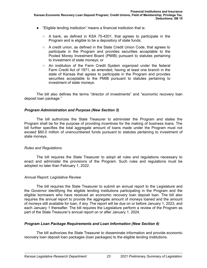- "Eligible lending institution" means a financial institution that is:
	- $\circ$  A bank, as defined in KSA 75-4201, that agrees to participate in the Program and is eligible to be a depository of state funds;
	- A credit union, as defined in the State Credit Union Code, that agrees to participate in the Program and provides securities acceptable to the Pooled Money Investment Board (PMIB) pursuant to statutes pertaining to investment of state moneys; or
	- An institution of the Farm Credit System organized under the federal Farm Credit Act of 1971, as amended, having at least one branch in the state of Kansas that agrees to participate in the Program and provides securities acceptable to the PMIB pursuant to statutes pertaining to investment of state moneys.

The bill also defines the terms "director of investments" and "economic recovery loan deposit loan package."

# *Program Administration and Purpose (New Section 3)*

The bill authorizes the State Treasurer to administer the Program and states the Program shall be for the purpose of providing incentives for the making of business loans. The bill further specifies the total aggregate amount of loans made under the Program must not exceed \$60.0 million of unencumbered funds pursuant to statutes pertaining to investment of state moneys.

# *Rules and Regulations*

The bill requires the State Treasurer to adopt all rules and regulations necessary to enact and administer the provisions of the Program. Such rules and regulations must be adopted no later than February 1, 2022.

# *Annual Report; Legislative Review*

The bill requires the State Treasurer to submit an annual report to the Legislature and the Governor identifying the eligible lending institutions participating in the Program and the eligible borrowers who have received an economic recovery loan deposit loan. The bill also requires the annual report to provide the aggregate amount of moneys loaned and the amount of moneys still available for loan, if any. The report will be due on or before January 1, 2023, and each January 1 thereafter. The bill requires the Legislature perform a review of the Program as part of the State Treasurer's annual report on or after January 1, 2024.

# *Program Loan Package Requirements and Loan Information (New Section 4)*

The bill authorizes the State Treasurer to disseminate information and provide economic recovery loan deposit loan packages (loan packages) to the eligible lending institutions.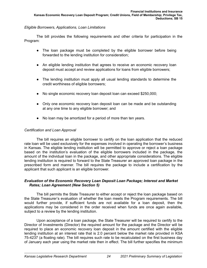# *Eligible Borrowers, Applications, Loan Limitations*

The bill provides the following requirements and other criteria for participation in the Program:

- The loan package must be completed by the eligible borrower before being forwarded to the lending institution for consideration;
- An eligible lending institution that agrees to receive an economic recovery loan deposit must accept and review applications for loans from eligible borrowers;
- The lending institution must apply all usual lending standards to determine the credit worthiness of eligible borrowers;
- No single economic recovery loan deposit loan can exceed \$250,000;
- Only one economic recovery loan deposit loan can be made and be outstanding at any one time to any eligible borrower; and
- No loan may be amortized for a period of more than ten years.

# *Certification and Loan Approval*

The bill requires an eligible borrower to certify on the loan application that the reduced rate loan will be used exclusively for the expenses involved in operating the borrower's business in Kansas. The eligible lending institution will be permitted to approve or reject a loan package based on the institution's evaluation of the eligible borrowers included in the package, the amount of the individual loan in the package, and other appropriate considerations. The eligible lending institution is required to forward to the State Treasurer an approved loan package in the prescribed form and manner. The bill requires the package to include a certification by the applicant that such applicant is an eligible borrower.

# *Evaluation of the Economic Recovery Loan Deposit Loan Package; Interest and Market Rates; Loan Agreement (New Section 5)*

The bill permits the State Treasurer to either accept or reject the loan package based on the State Treasurer's evaluation of whether the loan meets the Program requirements. The bill would further provide, if sufficient funds are not available for a loan deposit, then the applications may be considered in the order received when funds are once again available, subject to a review by the lending institution.

Upon acceptance of a loan package, the State Treasurer will be required to certify to the Director of Investments (Director) the required amount for the package and the Director will be required to place an economic recovery loan deposit in the amount certified with the eligible lending institution at an interest rate that is 2.0 percent below the market rate provided in KSA 75-4237 (a floating rate). The bill requires such rate to be recalculated on the first business day of January each year using the market rate then in effect. The bill further specifies the minimum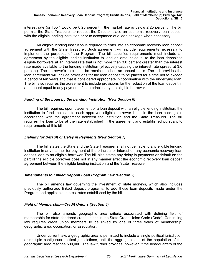interest rate (or floor) would be 0.25 percent if the market rate is below 2.25 percent. The bill permits the State Treasurer to request the Director place an economic recovery loan deposit with the eligible lending institution prior to acceptance of a loan package when necessary.

An eligible lending institution is required to enter into an economic recovery loan deposit agreement with the State Treasurer. Such agreement will include requirements necessary to implement the purposes of the Program. The bill specifies requirements must include an agreement by the eligible lending institution to lend an amount equal to the loan deposit to eligible borrowers at an interest rate that is not more than 3.0 percent greater than the interest rate made available to the lending institution (effectively capping the interest rate spread at 3.0 percent). The borrower's rate must be recalculated on an annual basis. The bill provides the loan agreement will include provisions for the loan deposit to be placed for a time not to exceed a period of ten years and that is considered appropriate in coordination with the underlying loan. The bill also requires the agreement to include provisions for the reduction of the loan deposit in an amount equal to any payment of loan principal by the eligible borrower.

#### *Funding of the Loan by the Lending Institution (New Section 6)*

The bill requires, upon placement of a loan deposit with an eligible lending institution, the institution to fund the loan to each approved eligible borrower listed in the loan package in accordance with the agreement between the institution and the State Treasurer. The bill requires the loan to be at the rate established in the agreement and established pursuant to requirements of this bill.

# *Liability for Default or Delay in Payments (New Section 7)*

The bill states the State and the State Treasurer shall not be liable to any eligible lending institution in any manner for payment of the principal or interest on any economic recovery loan deposit loan to an eligible borrower. The bill also states any delay in payments or default on the part of the eligible borrower does not in any manner affect the economic recovery loan deposit agreement between the eligible lending institution and the State Treasurer.

# *Amendments to Linked Deposit Loan Program Law (Section 9)*

The bill amends law governing the investment of state moneys, which also includes previously authorized linked deposit programs, to add those loan deposits made under the Program and applicable interest rates established by the bill.

# *Field of Membership—Credit Unions (Section 8)*

The bill also amends geographic area criteria associated with defining field of membership for state-chartered credit unions in the State Credit Union Code (Code). Continuing law requires credit union members to be linked by one of three fields of membership: geographic area, occupation, or association.

Under current law, a geographic area is permitted to include a single political jurisdiction or multiple contiguous political jurisdictions, until the aggregate total of the population of the geographic area reaches 500,000. The law further provides, however, if the headquarters of the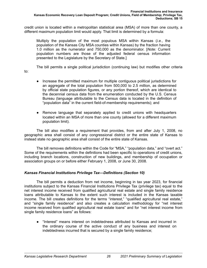credit union is located within a metropolitan statistical area (MSA) of more than one county, a different maximum population limit would apply. That limit is determined by a formula:

Multiply the population of the most populous MSA within Kansas (*i.e.*, the population of the Kansas City MSA counties within Kansas) by the fraction having 1.0 million as the numerator and 750,000 as the denominator. [*Note:* Current population numbers are those of the adjusted federal census information presented to the Legislature by the Secretary of State.]

The bill permits a single political jurisdiction (continuing law) but modifies other criteria

- to:
- Increase the permitted maximum for multiple contiguous political jurisdictions for an aggregate of the total population from 500,000 to 2.5 million, as determined by official state population figures, or any portion thereof, which are identical to the decennial census data from the enumeration conducted by the U.S. Census Bureau (language attributable to the Census data is located in the definition of "population data" in the current field-of-membership requirements); and
- Remove language that separately applied to credit unions with headquarters located within an MSA of more than one county (allowed for a different maximum population limit).

The bill also modifies a requirement that provides, from and after July 1, 2008, no geographic area shall consist of any congressional district or the entire state of Kansas to instead state no geographic area shall consist of the entire state of Kansas.

The bill removes definitions within the Code for "MSA," "population data," and "overt act." Some of the requirements within the definitions had been specific to operations of credit unions, including branch locations, construction of new buildings, and membership of occupation or association groups on or before either February 1, 2008, or June 30, 2008.

# *Kansas Financial Institutions Privilege Tax—Definitions (Section 10)*

The bill permits a deduction from net income, beginning in tax year 2023, for financial institutions subject to the Kansas Financial Institutions Privilege Tax (privilege tax) equal to the net interest income received from qualified agricultural real estate and single family residence loans attributable to Kansas to the extent such interest is included in the Kansas taxable income. The bill creates definitions for the terms "interest," "qualified agricultural real estate," and "single family residence" and also creates a calculation methodology for "net interest income received from qualified agricultural real estate loans" and for "net interest income from single family residence loans" as follows:

● "Interest" means interest on indebtedness attributed to Kansas and incurred in the ordinary course of the active conduct of any business and interest on indebtedness incurred that is secured by a single family residence;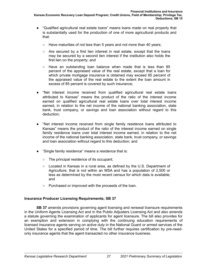- <span id="page-31-0"></span>● "Qualified agricultural real estate loans" means loans made on real property that is substantially used for the production of one of more agricultural products and that:
	- Have maturities of not less than 5 years and not more than 40 years;
	- Are secured by a first lien interest in real estate, except that the loans may be secured by a second lien interest if the institution also holds the first lien on the property; and
	- Have an outstanding loan balance when made that is less than 85 percent of the appraised value of the real estate, except that a loan for which private mortgage insurance is obtained may exceed 85 percent of the appraised value of the real estate to the extent the loan amount in excess of 85 percent is covered by such insurance;
- "Net interest income received from qualified agricultural real estate loans attributed to Kansas" means the product of the ratio of the interest income earned on qualified agricultural real estate loans over total interest income earned, in relation to the net income of the national banking association, state bank, trust company, or savings and loan association without regard to this deduction;
- "Net interest income received from single family residence loans attributed to Kansas" means the product of the ratio of the interest income earned on single family residence loans over total interest income earned, in relation to the net income of the national banking association, state bank, trust company, or savings and loan association without regard to this deduction; and
- "Single family residence" means a residence that is:
	- The principal residence of its occupant;
	- Located in Kansas in a rural area, as defined by the U.S. Department of Agriculture, that is not within an MSA and has a population of 2,500 or less as determined by the most recent census for which data is available; and
	- Purchased or improved with the proceeds of the loan.

# **Insurance Producer Licensing Requirements; SB 37**

**SB 37** amends provisions governing agent licensing and renewal licensure requirements in the Uniform Agents Licensing Act and in the Public Adjusters Licensing Act and also amends a statute governing the examination of applicants for agent licensure. The bill also provides for an exemption and extension in complying with the continuing education requirements of licensed insurance agents serving on active duty in the National Guard or armed services of the United States for a specified period of time. The bill further requires certification by pre-needonly insurance agents that the agent transacted no other insurance business.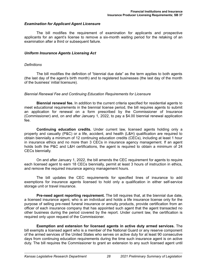# *Examination for Applicant Agent Licensure*

The bill modifies the requirement of examination for applicants and prospective applicants for an agent's license to remove a six-month waiting period for the retaking of an examination after a third or subsequent failure.

#### *Uniform Insurance Agents Licensing Act*

#### *Definitions*

The bill modifies the definition of "biennial due date" as the term applies to both agents (the last day of the agent's birth month) and to registered businesses (the last day of the month of the business' initial licensure).

#### *Biennial Renewal Fee and Continuing Education Requirements for Licensure*

**Biennial renewal fee.** In addition to the current criteria specified for residential agents to meet educational requirements in the biennial license period, the bill requires agents to submit an application for renewal on a form prescribed by the Commissioner of Insurance (Commissioner) and, on and after January 1, 2022, to pay a \$4.00 biennial renewal application fee.

**Continuing education credits.** Under current law, licensed agents holding only a property and casualty (P&C) or a life, accident, and health (L&H) qualification are required to obtain biennially a minimum of 12 continuing education credits (CECs), including at least 1 hour in insurance ethics and no more than 3 CECs in insurance agency management. If an agent holds both the P&C and L&H certifications, the agent is required to obtain a minimum of 24 CECs biennially.

On and after January 1, 2022, the bill amends the CEC requirement for agents to require each licensed agent to earn 18 CECs biennially, permit at least 3 hours of instruction in ethics, and remove the required insurance agency management hours.

The bill updates the CEC requirements for specified lines of insurance to add exemptions for insurance agents licensed to hold only a qualification in either self-service storage unit or travel insurance.

**Pre-need agent reporting requirement.** The bill requires that, at the biennial due date, a licensed insurance agent, who is an individual and holds a life insurance license only for the purpose of selling pre-need funeral insurance or annuity products, provide certification from an officer of each insurance company that has appointed such agent that the agent transacted no other business during the period covered by the report. Under current law, the certification is required only upon request of the Commissioner.

**Exemption and extension for licensed agents in active duty armed services.** The bill exempts a licensed agent who is a member of the National Guard or any reserve component of the armed services of the United States who serves on active duty for at least 90 consecutive days from continuing education requirements during the time such insurance agent is on active duty. The bill requires the Commissioner to grant an extension to any such licensed agent until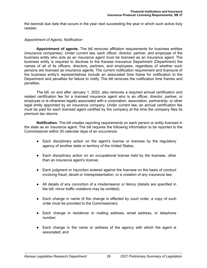the biennial due date that occurs in the year next succeeding the year in which such active duty ceases.

# *Appointment of Agents; Notification*

**Appointment of agents.** The bill removes affiliation requirements for business entities (insurance companies). Under current law, each officer, director, partner, and employee of the business entity who acts as an insurance agent must be licensed as an insurance agent. The business entity is required to disclose to the Kansas Insurance Department (Department) the names of all of its officers, directors, partners, and employees, regardless of whether such persons are licensed as insurance agents. The current notification requirement and licensure of the business entity's representatives include an associated time frame for notification to the Department and penalties for failure to notify. The bill removes the notification time frames and penalties.

The bill, on and after January 1, 2022, also removes a required annual certification and related certification fee for a licensed insurance agent who is an officer, director, partner, or employee or is otherwise legally associated with a corporation, association, partnership, or other legal entity appointed by an insurance company. Under current law, an annual certification fee must be paid for each licensed agent certified by the company at the time the company files its premium tax returns.

**Notification.** The bill creates reporting requirements on each person or entity licensed in the state as an insurance agent. The bill requires the following information to be reported to the Commissioner within 30 calendar days of an occurrence:

- Each disciplinary action on the agent's license or licenses by the regulatory agency of another state or territory of the United States;
- Each disciplinary action on an occupational license held by the licensee, other than an insurance agent's license;
- Each judgment or injunction entered against the licensee on the basis of conduct involving fraud, deceit or misrepresentation, or a violation of any insurance law;
- All details of any conviction of a misdemeanor or felony (details are specified in the bill; minor traffic violations may be omitted);
- Each change in name (if the change is effected by court order, a copy of such order must be provided to the Commissioner);
- Each change in residence or mailing address, email address, or telephone number;
- Each change in the name or address of the agency with which the agent is associated; and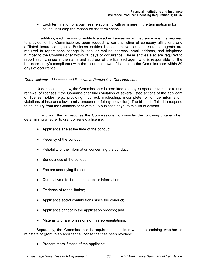● Each termination of a business relationship with an insurer if the termination is for cause, including the reason for the termination.

In addition, each person or entity licensed in Kansas as an insurance agent is required to provide to the Commissioner, upon request, a current listing of company affiliations and affiliated insurance agents. Business entities licensed in Kansas as insurance agents are required to report each change in legal or mailing address, email address, and telephone number to the Commissioner within 30 days of occurrence. These entities also are required to report each change in the name and address of the licensed agent who is responsible for the business entity's compliance with the insurance laws of Kansas to the Commissioner within 30 days of occurrence.

#### *Commissioner—Licenses and Renewals; Permissible Considerations*

Under continuing law, the Commissioner is permitted to deny, suspend, revoke, or refuse renewal of licenses if the Commissioner finds violation of several listed actions of the applicant or license holder (*e.g.*, providing incorrect, misleading, incomplete, or untrue information; violations of insurance law; a misdemeanor or felony conviction). The bill adds "failed to respond to an inquiry from the Commissioner within 15 business days" to this list of actions.

In addition, the bill requires the Commissioner to consider the following criteria when determining whether to grant or renew a license:

- Applicant's age at the time of the conduct;
- Recency of the conduct;
- Reliability of the information concerning the conduct;
- Seriousness of the conduct;
- Factors underlying the conduct;
- Cumulative effect of the conduct or information;
- Evidence of rehabilitation;
- Applicant's social contributions since the conduct;
- Applicant's candor in the application process; and
- Materiality of any omissions or misrepresentations.

Separately, the Commissioner is required to consider when determining whether to reinstate or grant to an applicant a license that has been revoked:

● Present moral fitness of the applicant;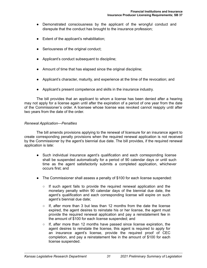- Demonstrated consciousness by the applicant of the wrongful conduct and disrepute that the conduct has brought to the insurance profession;
- Extent of the applicant's rehabilitation;
- Seriousness of the original conduct;
- Applicant's conduct subsequent to discipline;
- Amount of time that has elapsed since the original discipline;
- Applicant's character, maturity, and experience at the time of the revocation; and
- Applicant's present competence and skills in the insurance industry.

The bill provides that an applicant to whom a license has been denied after a hearing may not apply for a license again until after the expiration of a period of one year from the date of the Commissioner's order. A licensee whose license was revoked cannot reapply until after two years from the date of the order.

#### *Renewal Application—Penalties*

The bill amends provisions applying to the renewal of licensure for an insurance agent to create corresponding penalty provisions when the required renewal application is not received by the Commissioner by the agent's biennial due date. The bill provides, if the required renewal application is late:

- Such individual insurance agent's qualification and each corresponding license shall be suspended automatically for a period of 90 calendar days or until such time as the agent satisfactorily submits a completed application, whichever occurs first; and
- The Commissioner shall assess a penalty of \$100 for each license suspended:
	- $\circ$  If such agent fails to provide the required renewal application and the monetary penalty within 90 calendar days of the biennial due date, the agent's qualification and each corresponding license will expire on such agent's biennial due date;
	- $\circ$  If, after more than 3 but less than 12 months from the date the license expired, the agent desires to reinstate his or her license, the agent must provide the required renewal application and pay a reinstatement fee in the amount of \$100 for each license suspended; and
	- $\circ$  If, after more than 12 months have passed since license expiration, the agent desires to reinstate the license, this agent is required to apply for an insurance agent's license, provide the required proof of CEC completion, and pay a reinstatement fee in the amount of \$100 for each license suspended.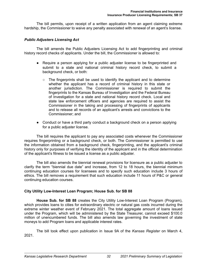The bill permits, upon receipt of a written application from an agent claiming extreme hardship, the Commissioner to waive any penalty associated with renewal of an agent's license.

# *Public Adjusters Licensing Act*

The bill amends the Public Adjusters Licensing Act to add fingerprinting and criminal history record checks of applicants. Under the bill, the Commissioner is allowed to:

- Require a person applying for a public adjuster license to be fingerprinted and submit to a state and national criminal history record check, to submit a background check, or both:
	- $\circ$  The fingerprints shall be used to identify the applicant and to determine whether the applicant has a record of criminal history in this state or another jurisdiction. The Commissioner is required to submit the fingerprints to the Kansas Bureau of Investigation and the Federal Bureau of Investigation for a state and national history record check. Local and state law enforcement officers and agencies are required to assist the Commissioner in the taking and processing of fingerprints of applicants and to release all records of an applicant's arrests and convictions to the Commissioner; and
- Conduct or have a third party conduct a background check on a person applying for a public adjuster license.

The bill requires the applicant to pay any associated costs whenever the Commissioner requires fingerprinting or a background check, or both. The Commissioner is permitted to use the information obtained from a background check, fingerprinting, and the applicant's criminal history only for purposes of verifying the identity of the applicant and in the official determination of the applicant's fitness to be issued a license as a public adjuster.

The bill also amends the biennial renewal provisions for licensure as a public adjuster to clarify the term "biennial due date" and increase, from 12 to 18 hours, the biennial minimum continuing education courses for licensees and to specify such education include 3 hours of ethics. The bill removes a requirement that such education include 11 hours of P&C or general continuing education courses.

# **City Utility Low-Interest Loan Program; House Sub. for SB 88**

**House Sub. for SB 88** creates the City Utility Low-Interest Loan Program (Program), which provides loans to cities for extraordinary electric or natural gas costs incurred during the extreme winter weather event of February 2021. The total aggregate amount of loans issued under the Program, which will be administered by the State Treasurer, cannot exceed \$100.0 million of unencumbered funds. The bill also amends law governing the investment of state moneys to add Program loans and applicable interest rates.

The bill took effect upon publication in Issue 9A of the *Kansas Register* on March 4, 2021.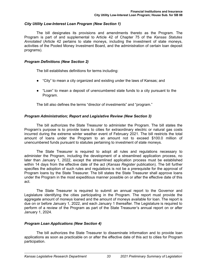## *City Utility Low-Interest Loan Program (New Section 1)*

The bill designates its provisions and amendments thereto as the Program. The Program is part of and supplemental to Article 42 of Chapter 75 of the *Kansas Statutes Annotated* (Article 42 pertains to state moneys, including the investment of state moneys, activities of the Pooled Money Investment Board, and the administration of certain loan deposit programs).

### *Program Definitions (New Section 2)*

The bill establishes definitions for terms including:

- "City" to mean a city organized and existing under the laws of Kansas; and
- "Loan" to mean a deposit of unencumbered state funds to a city pursuant to the Program.

The bill also defines the terms "director of investments" and "program."

# *Program Administration; Report and Legislative Review (New Section 3)*

The bill authorizes the State Treasurer to administer the Program. The bill states the Program's purpose is to provide loans to cities for extraordinary electric or natural gas costs incurred during the extreme winter weather event of February 2021. The bill restricts the total amount of loans under the Program to an amount not to exceed \$100.0 million of unencumbered funds pursuant to statutes pertaining to investment of state moneys.

The State Treasurer is required to adopt all rules and regulations necessary to administer the Program, including the development of a streamlined application process, no later than January 1, 2022, except the streamlined application process must be established within 14 days from the effective date of the act (*Kansas Register* publication). The bill further specifies the adoption of such rules and regulations is not be a prerequisite for the approval of Program loans by the State Treasurer. The bill states the State Treasurer shall approve loans under the Program in the most expeditious manner possible on or after the effective date of this act.

The State Treasurer is required to submit an annual report to the Governor and Legislature identifying the cities participating in the Program. The report must provide the aggregate amount of moneys loaned and the amount of moneys available for loan. The report is due on or before January 1, 2022, and each January 1 thereafter. The Legislature is required to perform of a review of the Program as part of the State Treasurer's annual report on or after January 1, 2024.

# *Program Loan Applications (New Section 4)*

The bill authorizes the State Treasurer to disseminate information and to provide loan applications as soon as practicable on or after the effective date of this act to cities for Program participation.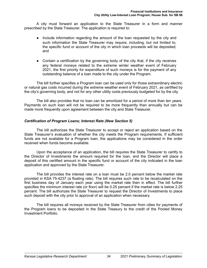A city must forward an application to the State Treasurer in a form and manner prescribed by the State Treasurer. The application is required to:

- Include information regarding the amount of the loan requested by the city and such information the State Treasurer may require, including, but not limited to, the specific fund or account of the city in which loan proceeds will be deposited; and
- Contain a certification by the governing body of the city that, if the city receives any federal moneys related to the extreme winter weather event of February 2021, the first priority for expenditure of such moneys is for the payment of any outstanding balance of a loan made to the city under the Program.

The bill further specifies a Program loan can be used only for those extraordinary electric or natural gas costs incurred during the extreme weather event of February 2021, as certified by the city's governing body, and not for any other utility costs previously budgeted for by the city.

The bill also provides that no loan can be amortized for a period of more than ten years. Payments on such loan will not be required to be more frequently than annually but can be made more frequently upon agreement between the city and State Treasurer.

# *Certification of Program Loans; Interest Rate (New Section 5)*

The bill authorizes the State Treasurer to accept or reject an application based on the State Treasurer's evaluation of whether the city meets the Program requirements. If sufficient funds are not available for a Program loan, the applications may be considered in the order received when funds become available.

Upon the acceptance of an application, the bill requires the State Treasurer to certify to the Director of Investments the amount required for the loan, and the Director will place a deposit of this certified amount in the specific fund or account of the city indicated in the loan application and approved by the State Treasurer.

The bill provides the interest rate on a loan must be 2.0 percent below the market rate provided in KSA 75-4237 (a floating rate). The bill requires such rate to be recalculated on the first business day of January each year using the market rate then in effect. The bill further specifies the minimum interest rate (or floor) will be 0.25 percent if the market rate is below 2.25 percent. The bill authorizes the State Treasurer to request the Director of Investments to place such deposit with the city prior to approval of an application when necessary.

The bill requires all moneys received by the State Treasurer from cities for payments of the Program loans to be deposited in the State Treasury to the credit of the Pooled Money Investment Portfolio.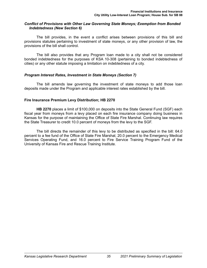### *Conflict of Provisions with Other Law Governing State Moneys; Exemption from Bonded Indebtedness (New Section 6)*

The bill provides, in the event a conflict arises between provisions of this bill and provisions statutes pertaining to investment of state moneys, or any other provision of law, the provisions of the bill shall control.

The bill also provides that any Program loan made to a city shall not be considered bonded indebtedness for the purposes of KSA 10-308 (pertaining to bonded indebtedness of cities) or any other statute imposing a limitation on indebtedness of a city.

## *Program Interest Rates, Investment in State Moneys (Section 7)*

The bill amends law governing the investment of state moneys to add those loan deposits made under the Program and applicable interest rates established by the bill.

#### **Fire Insurance Premium Levy Distribution; HB 2270**

**HB 2270** places a limit of \$100,000 on deposits into the State General Fund (SGF) each fiscal year from moneys from a levy placed on each fire insurance company doing business in Kansas for the purpose of maintaining the Office of State Fire Marshal. Continuing law requires the State Treasurer to credit 10.0 percent of moneys from the levy to the SGF.

The bill directs the remainder of this levy to be distributed as specified in the bill: 64.0 percent to a fee fund of the Office of State Fire Marshal, 20.0 percent to the Emergency Medical Services Operating Fund, and 16.0 percent to Fire Service Training Program Fund of the University of Kansas Fire and Rescue Training Institute.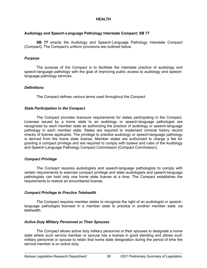# **HEALTH**

# **Audiology and Speech-Language Pathology Interstate Compact; SB 77**

**SB 77** enacts the Audiology and Speech-Language Pathology Interstate Compact (Compact). The Compact's uniform provisions are outlined below.

## *Purpose*

The purpose of the Compact is to facilitate the interstate practice of audiology and speech-language pathology with the goal of improving public access to audiology and speechlanguage pathology services.

## *Definitions*

The Compact defines various terms used throughout the Compact.

## *State Participation in the Compact*

The Compact provides licensure requirements for states participating in the Compact. Licenses issued by a home state to an audiology or speech-language pathologist are recognized by each member state as authorizing the practice of audiology or speech-language pathology in each member state. States are required to implement criminal history record checks of license applicants. The privilege to practice audiology or speech-language pathology is derived from the home state license. Member states are authorized to charge a fee for granting a compact privilege and are required to comply with bylaws and rules of the Audiology and Speech-Language Pathology Compact Commission (Compact Commission).

#### *Compact Privilege*

The Compact requires audiologists and speech-language pathologists to comply with certain requirements to exercise compact privilege and state audiologists and speech-language pathologists can hold only one home state license at a time. The Compact establishes the requirements to restore an encumbered license.

#### *Compact Privilege to Practice Telehealth*

The Compact requires member states to recognize the right of an audiologist or speechlanguage pathologist licensed in a member state to practice in another member state *via* telehealth.

# *Active Duty Military Personnel or Their Spouses*

The Compact allows active duty military personnel or their spouses to designate a home state where such service member or spouse has a license in good standing and allows such military personnel or spouse to retain that home state designation during the period of time the service member is on active duty.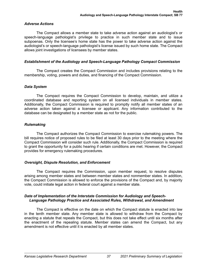# *Adverse Actions*

The Compact allows a member state to take adverse action against an audiologist's or speech-language pathologist's privilege to practice in such member state and to issue subpoenas. Only the licensee's home state has the power to take adverse action against the audiologist's or speech-language pathologist's license issued by such home state. The Compact allows joint investigations of licensees by member states.

## *Establishment of the Audiology and Speech-Language Pathology Compact Commission*

The Compact creates the Compact Commission and includes provisions relating to the membership, voting, powers and duties, and financing of the Compact Commission.

## *Data System*

The Compact requires the Compact Commission to develop, maintain, and utilize a coordinated database and reporting system on all licensed individuals in member states. Additionally, the Compact Commission is required to promptly notify all member states of an adverse action taken against a licensee or applicant. Any information contributed to the database can be designated by a member state as not for the public.

## *Rulemaking*

The Compact authorizes the Compact Commission to exercise rulemaking powers. The bill requires notice of proposed rules to be filed at least 30 days prior to the meeting where the Compact Commission will consider such rule. Additionally, the Compact Commission is required to grant the opportunity for a public hearing if certain conditions are met. However, the Compact provides for emergency rulemaking procedures.

# *Oversight, Dispute Resolution, and Enforcement*

The Compact requires the Commission, upon member request, to resolve disputes arising among member states and between member states and nonmember states. In addition, the Compact Commission is allowed to enforce the provisions of the Compact and, by majority vote, could initiate legal action in federal court against a member state.

## *Date of Implementation of the Interstate Commission for Audiology and Speech-Language Pathology Practice and Associated Rules, Withdrawal, and Amendment*

The Compact is effective on the date on which the Compact statute is enacted into law in the tenth member state. Any member state is allowed to withdraw from the Compact by enacting a statute that repeals the Compact, but this does not take effect until six months after the enactment of the repealing statute. Member states can amend the Compact, but any amendment is not effective until it is enacted by all member states.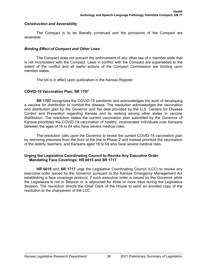## *Construction and Severability*

The Compact is to be liberally construed and the provisions of the Compact are severable.

# *Binding Effect of Compact and Other Laws*

The Compact does not prevent the enforcement of any other law of a member state that is not inconsistent with the Compact. Laws in conflict with the Compact are superseded to the extent of the conflict and all lawful actions of the Compact Commission are binding upon member states.

The bill is in effect upon publication in the *Kansas Register*.

## **COVID-19 Vaccination Plan; SR 1707**

**SR 1707** recognizes the COVID-19 pandemic and acknowledges the work of developing a vaccine for distribution to combat the disease. The resolution acknowledges the vaccination and distribution plan by the Governor and the data provided by the U.S. Centers for Disease Control and Prevention regarding Kansas and its ranking among other states in vaccine distribution. The resolution states the current vaccination plan submitted by the Governor of Kansas prioritizes the COVID-19 vaccination of healthy, incarcerated individuals over Kansans between the ages of 16 to 64 who have severe medical risks.

The resolution calls upon the Governor to revise the current COVID-19 vaccination plan by removing prisoners from the front of the line in Phase 2 and instead prioritize the vaccination of the elderly, teachers, and Kansans aged 16 to 64 who have severe medical risks.

## **Urging the Legislative Coordinating Council to Revoke Any Executive Order Mandating Face Coverings; HR 6015 and SR 1717**

**HR 6015** and **SR 1717** urge the Legislative Coordinating Council (LCC) to revoke any executive order issued by the Governor pursuant to the Kansas Emergency Management Act establishing a face coverings protocol, if such executive order is issued by the Governor while the Legislature is not in Session or is adjourned for three or more days during the Legislative Session. The resolution directs the Chief Clerk of the House to send an enrolled copy of the resolution to the chairperson of the LCC.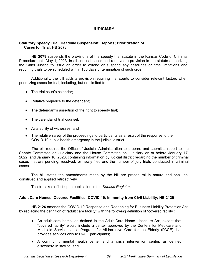# **JUDICIARY**

# **Statutory Speedy Trial; Deadline Suspension; Reports; Prioritization of Cases for Trial; HB 2078**

**HB 2078** suspends the provisions of the speedy trial statute in the Kansas Code of Criminal Procedure until May 1, 2023, in all criminal cases and removes a provision in the statute authorizing the Chief Justice to issue an order to extend or suspend any deadlines or time limitations and requiring trials to be scheduled within 150 days of termination of such order.

Additionally, the bill adds a provision requiring trial courts to consider relevant factors when prioritizing cases for trial, including, but not limited to:

- The trial court's calendar:
- Relative prejudice to the defendant;
- The defendant's assertion of the right to speedy trial;
- The calendar of trial counsel;
- Availability of witnesses; and
- The relative safety of the proceedings to participants as a result of the response to the COVID-19 public health emergency in the judicial district.

The bill requires the Office of Judicial Administration to prepare and submit a report to the Senate Committee on Judiciary and the House Committee on Judiciary on or before January 17, 2022, and January 16, 2023, containing information by judicial district regarding the number of criminal cases that are pending, resolved, or newly filed and the number of jury trials conducted in criminal cases.

The bill states the amendments made by the bill are procedural in nature and shall be construed and applied retroactively.

The bill takes effect upon publication in the *Kansas Register*.

# **Adult Care Homes; Covered Facilities; COVID-19; Immunity from Civil Liability; HB 2126**

**HB 2126** amends the COVID-19 Response and Reopening for Business Liability Protection Act by replacing the definition of "adult care facility" with the following definition of "covered facility":

- An adult care home, as defined in the Adult Care Home Licensure Act, except that "covered facility" would include a center approved by the Centers for Medicare and Medicaid Services as a Program for All-inclusive Care for the Elderly (PACE) that provides services only to PACE participants;
- A community mental health center and a crisis intervention center, as defined elsewhere in statute; and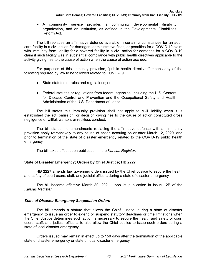● A community service provider, a community developmental disability organization, and an institution, as defined in the Developmental Disabilities Reform Act.

The bill replaces an affirmative defense available in certain circumstances for an adult care facility in a civil action for damages, administrative fines, or penalties for a COVID-19 claim with immunity from liability for a covered facility in a civil action for damages for a COVID-19 claim if such facility was in substantial compliance with public health directives applicable to the activity giving rise to the cause of action when the cause of action accrued.

For purposes of this immunity provision, "public health directives" means any of the following required by law to be followed related to COVID-19:

- State statutes or rules and regulations; or
- Federal statutes or regulations from federal agencies, including the U.S. Centers for Disease Control and Prevention and the Occupational Safety and Health Administration of the U.S. Department of Labor.

The bill states this immunity provision shall not apply to civil liability when it is established the act, omission, or decision giving rise to the cause of action constituted gross negligence or willful, wanton, or reckless conduct.

The bill states the amendments replacing the affirmative defense with an immunity provision apply retroactively to any cause of action accruing on or after March 12, 2020, and prior to termination of the state of disaster emergency related to the COVID-19 public health emergency.

The bill takes effect upon publication in the *Kansas Register*.

# **State of Disaster Emergency; Orders by Chief Justice; HB 2227**

**HB 2227** amends law governing orders issued by the Chief Justice to secure the health and safety of court users, staff, and judicial officers during a state of disaster emergency.

The bill became effective March 30, 2021, upon its publication in Issue 12B of the *Kansas Register*.

# *State of Disaster Emergency Suspension Orders*

The bill amends a statute that allows the Chief Justice, during a state of disaster emergency, to issue an order to extend or suspend statutory deadlines or time limitations when the Chief Justice determines such action is necessary to secure the health and safety of court users, staff, and judicial officers, to also allow the Chief Justice to issue such orders during a state of local disaster emergency.

Orders issued may remain in effect up to 150 days after the termination of the applicable state of disaster emergency or state of local disaster emergency.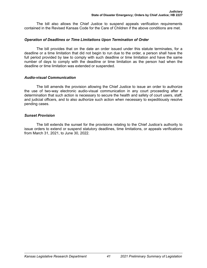The bill also allows the Chief Justice to suspend appeals verification requirements contained in the Revised Kansas Code for the Care of Children if the above conditions are met.

# *Operation of Deadlines or Time Limitations Upon Termination of Order*

The bill provides that on the date an order issued under this statute terminates, for a deadline or a time limitation that did not begin to run due to the order, a person shall have the full period provided by law to comply with such deadline or time limitation and have the same number of days to comply with the deadline or time limitation as the person had when the deadline or time limitation was extended or suspended.

# *Audio-visual Communication*

The bill amends the provision allowing the Chief Justice to issue an order to authorize the use of two-way electronic audio-visual communication in any court proceeding after a determination that such action is necessary to secure the health and safety of court users, staff, and judicial officers, and to also authorize such action when necessary to expeditiously resolve pending cases.

# *Sunset Provision*

The bill extends the sunset for the provisions relating to the Chief Justice's authority to issue orders to extend or suspend statutory deadlines, time limitations, or appeals verifications from March 31, 2021, to June 30, 2022.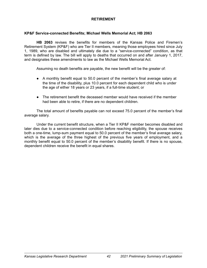# **RETIREMENT**

## **KP&F Service-connected Benefits; Michael Wells Memorial Act; HB 2063**

**HB 2063** revises the benefits for members of the Kansas Police and Firemen's Retirement System (KP&F) who are Tier II members, meaning those employees hired since July 1, 1989, who are disabled and ultimately die due to a "service-connected" condition, as that term is defined by law. The bill will apply to deaths that occurred on and after January 1, 2017, and designates these amendments to law as the Michael Wells Memorial Act.

Assuming no death benefits are payable, the new benefit will be the greater of:

- A monthly benefit equal to 50.0 percent of the member's final average salary at the time of the disability, plus 10.0 percent for each dependent child who is under the age of either 18 years or 23 years, if a full-time student; or
- The retirement benefit the deceased member would have received if the member had been able to retire, if there are no dependent children.

The total amount of benefits payable can not exceed 75.0 percent of the member's final average salary.

Under the current benefit structure, when a Tier II KP&F member becomes disabled and later dies due to a service-connected condition before reaching eligibility, the spouse receives both a one-time, lump-sum payment equal to 50.0 percent of the member's final average salary, which is the average of the three highest of the previous five years of employment, and a monthly benefit equal to 50.0 percent of the member's disability benefit. If there is no spouse, dependent children receive the benefit in equal shares.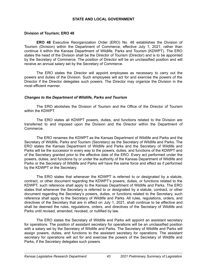## **STATE AND LOCAL GOVERNMENT**

### **Division of Tourism; ERO 48**

**ERO 48** Executive Reorganization Order (ERO) No. 48 establishes the Division of Tourism (Division) within the Department of Commerce, effective July 1, 2021, rather than continue it within the Kansas Department of Wildlife, Parks and Tourism (KDWPT). The ERO states the head of the Division shall be the Director of Tourism (Director) and is to be appointed by the Secretary of Commerce. The position of Director will be an unclassified position and will receive an annual salary set by the Secretary of Commerce.

The ERO states the Director will appoint employees as necessary to carry out the powers and duties of the Division. Such employees will act for and exercise the powers of the Director if the Director delegates such powers. The Director may organize the Division in the most efficient manner.

## *Changes to the Department of Wildlife, Parks and Tourism*

The ERO abolishes the Division of Tourism and the Office of the Director of Tourism within the KDWPT.

The ERO states all KDWPT powers, duties, and functions related to the Division are transferred to and imposed upon the Division and the Director within the Department of Commerce.

The ERO renames the KDWPT as the Kansas Department of Wildlife and Parks and the Secretary of Wildlife, Parks and Tourism (Secretary) as the Secretary of Wildlife and Parks. The ERO states the Kansas Department of Wildlife and Parks and the Secretary of Wildlife and Parks will be the successor in every way to the powers, duties, and functions of the KDWPT and of the Secretary granted prior to the effective date of the ERO. Every act performed under the powers, duties, and functions by or under the authority of the Kansas Department of Wildlife and Parks or the Secretary of Wildlife and Parks will have the same force and effect as if performed by the KDWPT or the Secretary.

The ERO states that whenever the KDWPT is referred to or designated by a statute, contract, or other document regarding the KDWPT's powers, duties, or functions related to the KDWPT, such reference shall apply to the Kansas Department of Wildlife and Parks. The ERO states that whenever the Secretary is referred to or designated by a statute, contract, or other document regarding the Secretary's powers, duties, or functions related to the Secretary, such reference shall apply to the Secretary of Wildlife and Parks. All rules, regulations, orders, and directives of the Secretary that are in effect on July 1, 2021, shall continue to be effective and shall be deemed the rules, regulations, orders, and directives of the Secretary of Wildlife and Parks until revised, amended, revoked, or nullified by law.

The ERO states the Secretary of Wildlife and Parks will appoint an assistant secretary for operations. The position of assistant secretary for operations will be an unclassified position with a salary set by the Secretary of Wildlife and Parks. The Secretary of Wildlife and Parks will assign powers, duties, and functions to the assistant secretary for operations. The assistant secretary for operations will act for and exercise the powers of the Secretary of Wildlife and Parks, if the Secretary delegates such powers.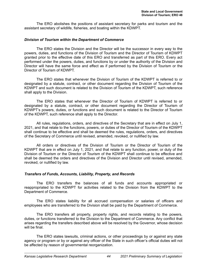The ERO abolishes the positions of assistant secretary for parks and tourism and the assistant secretary of wildlife, fisheries, and boating within the KDWPT.

### *Division of Tourism within the Department of Commerce*

The ERO states the Division and the Director will be the successor in every way to the powers, duties, and functions of the Division of Tourism and the Director of Tourism of KDWPT granted prior to the effective date of this ERO and transferred as part of this ERO. Every act performed under the powers, duties, and functions by or under the authority of the Division and Director will have the same force and effect as if performed by the Division of Tourism or the Director of Tourism of KDWPT.

The ERO states that whenever the Division of Tourism of the KDWPT is referred to or designated by a statute, contract, or other document regarding the Division of Tourism of the KDWPT and such document is related to the Division of Tourism of the KDWPT, such reference shall apply to the Division.

The ERO states that whenever the Director of Tourism of KDWPT is referred to or designated by a statute, contract, or other document regarding the Director of Tourism of KDWPT's powers, duties, or functions and such document is related to the Director of Tourism of the KDWPT, such reference shall apply to the Director.

All rules, regulations, orders, and directives of the Secretary that are in effect on July 1, 2021, and that relate to the functions, powers, or duties of the Director of Tourism of the KDWPT shall continue to be effective and shall be deemed the rules, regulations, orders, and directives of the Secretary of Commerce until revised, amended, revoked, or nullified by law.

All orders or directives of the Division of Tourism or the Director of Tourism of the KDWPT that are in effect on July 1, 2021, and that relate to any function, power, or duty of the Division of Tourism or the Director of Tourism of the KDWPT shall continue to be effective and shall be deemed the orders and directives of the Division and Director until revised, amended, revoked, or nullified by law.

# *Transfers of Funds, Accounts, Liability, Property, and Records*

The ERO transfers the balances of all funds and accounts appropriated or reappropriated to the KDWPT for activities related to the Division from the KDWPT to the Department of Commerce.

The ERO states liability for all accrued compensation or salaries of officers and employees who are transferred to the Division shall be paid by the Department of Commerce.

The ERO transfers all property, property rights, and records relating to the powers, duties, or functions transferred to the Division to the Department of Commerce. Any conflict that arises regarding the transfers described above will be resolved by the Governor, whose decision will be final

The ERO states lawsuits, criminal actions, or other proceedings by or against any state agency or program or by or against any officer of the State in such officer's official duties will not be affected by reason of governmental reorganization.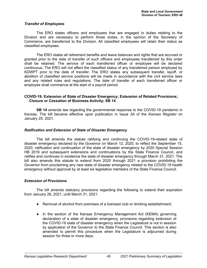#### *Transfer of Employees*

The ERO states officers and employees that are engaged in duties relating to the Division and are necessary to perform those duties, in the opinion of the Secretary of Commerce, are transferred to the Division. All classified employees will retain their status as classified employees.

The ERO states all retirement benefits and leave balances and rights that are accrued or granted prior to the date of transfer of such officers and employees transferred by this order shall be retained. The service of each transferred officer or employee will be declared continuous. The ERO will not affect the classified status of any transferred person employed by KDWPT prior to the date of transfer. The ERO states any subsequent transfer, layoff, or abolition of classified service positions will be made in accordance with the civil service laws and any related rules and regulations. The date of transfer of each transferred officer or employee shall commence at the start of a payroll period.

## **COVID-19; Extension of State of Disaster Emergency; Extension of Related Provisions; Closure or Cessation of Business Activity; SB 14**

**SB 14** amends law regarding the governmental response to the COVID-19 pandemic in Kansas. The bill became effective upon publication in Issue 3A of the *Kansas Register* on January 25, 2021.

## *Ratification and Extension of State of Disaster Emergency*

The bill amends the statute ratifying and continuing the COVID-19-related state of disaster emergency declared by the Governor on March 12, 2020, to reflect the September 15, 2020, ratification and continuation of the state of disaster emergency by 2020 Special Session HB 2016 and subsequent extensions and continuations by the State Finance Council, and ratifies and continues in existence the state of disaster emergency through March 31, 2021. The bill also amends this statute to extend from 2020 through 2021 a provision prohibiting the Governor from proclaiming any new state of disaster emergency related to the COVID-19 health emergency without approval by at least six legislative members of the State Finance Council.

# *Extension of Provisions*

The bill amends statutory provisions regarding the following to extend their expiration from January 26, 2021, until March 31, 2021:

- Removal of alcohol from premises of a licensed club or drinking establishment;
- In the section of the Kansas Emergency Management Act (KEMA) governing declaration of a state of disaster emergency, provisions regarding extension of the COVID-19 state of disaster emergency when the Legislature is not in session by application of the Governor to the State Finance Council. This section is also amended to permit this procedure when the Legislature is adjourned during session for three or more days;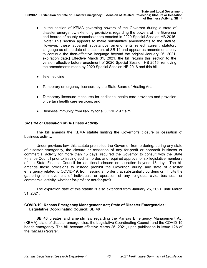- In the section of KEMA governing powers of the Governor during a state of disaster emergency, extending provisions regarding the powers of the Governor and boards of county commissioners enacted in 2020 Special Session HB 2016. [*Note:* This section appears to make substantive amendments to the statute. However, these apparent substantive amendments reflect current statutory language as of the date of enactment of SB 14 and appear as amendments only to continue the then-effective language beyond the original January 26, 2021, expiration date.] Effective March 31, 2021, the bill returns this section to the version effective before enactment of 2020 Special Session HB 2016, removing the amendments made by 2020 Special Session HB 2016 and this bill;
- Telemedicine;
- Temporary emergency licensure by the State Board of Healing Arts;
- Temporary licensure measures for additional health care providers and provision of certain health care services; and
- Business immunity from liability for a COVID-19 claim.

# *Closure or Cessation of Business Activity*

The bill amends the KEMA statute limiting the Governor's closure or cessation of business activity.

Under previous law, this statute prohibited the Governor from ordering, during any state of disaster emergency, the closure or cessation of any for-profit or nonprofit business or commercial activity for more than 15 days, required the Governor to consult with the State Finance Council prior to issuing such an order, and required approval of six legislative members of the State Finance Council for additional closure or cessation beyond 15 days. The bill amends these provisions to instead prohibit the Governor, during any state of disaster emergency related to COVID-19, from issuing an order that substantially burdens or inhibits the gathering or movement of individuals or operation of any religious, civic, business, or commercial activity, whether for-profit or not-for-profit.

The expiration date of this statute is also extended from January 26, 2021, until March 31, 2021.

# **COVID-19; Kansas Emergency Management Act; State of Disaster Emergencies; Legislative Coordinating Council; SB 40**

**SB 40** creates and amends law regarding the Kansas Emergency Management Act (KEMA), state of disaster emergencies, the Legislative Coordinating Council, and the COVID-19 health emergency. The bill became effective March 25, 2021, upon publication in Issue 12A of the *Kansas Register*.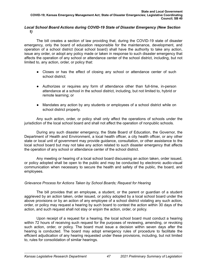# *Local School Board Actions during COVID-19 State of Disaster Emergency (New Section 1)*

The bill creates a section of law providing that, during the COVID-19 state of disaster emergency, only the board of education responsible for the maintenance, development, and operation of a school district (local school board) shall have the authority to take any action, issue any order, or adopt any policy made or taken in response to such disaster emergency that affects the operation of any school or attendance center of the school district, including, but not limited to, any action, order, or policy that:

- Closes or has the effect of closing any school or attendance center of such school district;
- Authorizes or requires any form of attendance other than full-time, in-person attendance at a school in the school district, including, but not limited to, hybrid or remote learning; or
- Mandates any action by any students or employees of a school district while on school district property.

Any such action, order, or policy shall only affect the operations of schools under the jurisdiction of the local school board and shall not affect the operation of nonpublic schools.

During any such disaster emergency, the State Board of Education, the Governor, the Department of Health and Environment, a local health officer, a city health officer, or any other state or local unit of government may provide guidance, consultation, or other assistance to the local school board but may not take any action related to such disaster emergency that affects the operation of any school or attendance center of the school district.

Any meeting or hearing of a local school board discussing an action taken, order issued, or policy adopted shall be open to the public and may be conducted by electronic audio-visual communication when necessary to secure the health and safety of the public, the board, and employees.

# *Grievance Process for Actions Taken by School Boards; Request for Hearing*

The bill provides that an employee, a student, or the parent or guardian of a student aggrieved by an action taken, order issued, or policy adopted by a local school board under the above provisions or by an action of any employee of a school district violating any such action, order, or policy may request a hearing by such board to contest the action within 30 days of the action, and such request shall not stay or enjoin the action, order, or policy.

Upon receipt of a request for a hearing, the local school board must conduct a hearing within 72 hours of receiving such request for the purposes of reviewing, amending, or revoking such action, order, or policy. The board must issue a decision within seven days after the hearing is conducted. The board may adopt emergency rules of procedure to facilitate the efficient adjudication of any hearing requested under these provisions, including, but not limited to, rules for consolidation of similar hearings.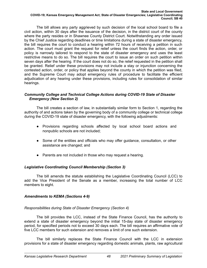The bill allows any party aggrieved by such decision of the local school board to file a civil action, within 30 days after the issuance of the decision, in the district court of the county where the party resides or in Shawnee County District Court. Notwithstanding any order issued by the Chief Justice regarding deadlines or time limitations during a state of disaster emergency, the bill requires the court to conduct a hearing within 72 hours of receiving a petition in such action. The court must grant the request for relief unless the court finds the action, order, or policy is narrowly tailored to respond to the state of disaster emergency and uses the least restrictive means to do so. The bill requires the court to issue an order on such petition within seven days after the hearing. If the court does not do so, the relief requested in the petition shall be granted. Relief under these provisions may not include a stay or injunction concerning the contested action, order, or policy that applies beyond the county in which the petition was filed, and the Supreme Court may adopt emergency rules of procedure to facilitate the efficient adjudication of any hearing under these provisions, including rules for consolidation of similar hearings.

# *Community College and Technical College Actions during COVID-19 State of Disaster Emergency (New Section 2)*

The bill creates a section of law, in substantially similar form to Section 1, regarding the authority of and actions taken by the governing body of a community college or technical college during the COVID-19 state of disaster emergency, with the following adjustments:

- Provisions regarding schools affected by local school board actions and nonpublic schools are not included;
- Some of the entities and officials who may offer guidance, consultation, or other assistance are changed; and
- Parents are not included in those who may request a hearing.

# *Legislative Coordinating Council Membership (Section 3)*

The bill amends the statute establishing the Legislative Coordinating Council (LCC) to add the Vice President of the Senate as a member, increasing the total number of LCC members to eight.

# *Amendments to KEMA (Sections 4-9)*

# *Responsibilities during State of Disaster Emergency (Section 4)*

The bill provides the LCC, instead of the State Finance Council, has the authority to extend a state of disaster emergency beyond the initial 15-day state of disaster emergency period, for specified periods not to exceed 30 days each. The bill requires an affirmative vote of five LCC members for such extension and removes a limit of one such extension.

The bill similarly replaces the State Finance Council with the LCC in extension provisions for a state of disaster emergency regarding domestic animals, plants, raw agricultural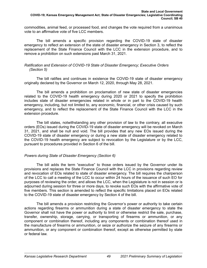commodities, animal feed, or processed food, and changes the vote required from a unanimous vote to an affirmative vote of five LCC members.

The bill amends a specific provision regarding the COVID-19 state of disaster emergency to reflect an extension of the state of disaster emergency in Section 3, to reflect the replacement of the State Finance Council with the LCC in the extension procedure, and to remove a prohibition on such extensions past March 31, 2021.

## *Ratification and Extension of COVID-19 State of Disaster Emergency; Executive Orders (Section 5)*

The bill ratifies and continues in existence the COVID-19 state of disaster emergency originally declared by the Governor on March 12, 2020, through May 28, 2021.

The bill amends a prohibition on proclamation of new state of disaster emergencies related to the COVID-19 health emergency during 2020 or 2021 to specify the prohibition includes state of disaster emergencies related in whole or in part to the COVID-19 health emergency, including, but not limited to, any economic, financial, or other crisis caused by such emergency, and to reflect the replacement of the State Finance Council with the LCC in the extension procedure.

The bill states, notwithstanding any other provision of law to the contrary, all executive orders (EOs) issued during the COVID-19 state of disaster emergency will be revoked on March 31, 2021, and shall be null and void. The bill provides that any new EOs issued during the COVID-19 state of disaster emergency or during a new state of disaster emergency related to the COVID-19 health emergency are subject to revocation by the Legislature or by the LCC, pursuant to procedures provided in Section 6 of the bill.

#### *Powers during State of Disaster Emergency (Section 6)*

The bill adds the term "executive" to those orders issued by the Governor under its provisions and replaces the State Finance Council with the LCC in provisions regarding review and revocation of EOs related to state of disaster emergency. The bill requires the chairperson of the LCC to call a meeting of the LCC to occur within 24 hours of the issuance of such EO for purposes of reviewing the order, and allows the LCC, when the Legislature is not in session or is adjourned during session for three or more days, to revoke such EOs with the affirmative vote of five members. This section is amended to reflect the specific limitations placed on EOs related to the COVID-19 state of disaster emergency by Section 4 of the bill.

The bill amends a provision restricting the Governor's power or authority to take certain actions regarding firearms or ammunition during a state of disaster emergency to state the Governor shall not have the power or authority to limit or otherwise restrict the sale, purchase, transfer, ownership, storage, carrying, or transporting of firearms or ammunition, or any component or combination thereof, including any components or combination thereof used in the manufacture of firearms or ammunition, or seize or authorize the seizure of any firearms or ammunition, or any component or combination thereof, except as otherwise permitted by state or federal law.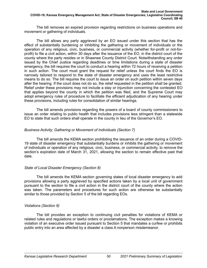The bill removes an expired provision regarding restrictions on business operations and movement or gathering of individuals.

The bill allows any party aggrieved by an EO issued under this section that has the effect of substantially burdening or inhibiting the gathering or movement of individuals or the operation of any religious, civic, business, or commercial activity (whether for-profit or not-forprofit) to file a civil action, within 30 days after the issuance of the EO, in the district court of the county where the party resides or in Shawnee County District Court. Notwithstanding any order issued by the Chief Justice regarding deadlines or time limitations during a state of disaster emergency, the bill requires the court to conduct a hearing within 72 hours of receiving a petition in such action. The court must grant the request for relief unless the court finds the EO is narrowly tailored to respond to the state of disaster emergency and uses the least restrictive means to do so. The bill requires the court to issue an order on such petition within seven days after the hearing. If the court does not do so, the relief requested in the petition shall be granted. Relief under these provisions may not include a stay or injunction concerning the contested EO that applies beyond the county in which the petition was filed, and the Supreme Court may adopt emergency rules of procedure to facilitate the efficient adjudication of any hearing under these provisions, including rules for consolidation of similar hearings.

The bill amends provisions regarding the powers of a board of county commissioners to issue an order relating to public health that includes provisions less stringent than a statewide EO to state that such orders shall operate in the county in lieu of the Governor's EO.

# *Business Activity; Gathering or Movement of Individuals (Section 7)*

The bill amends the KEMA section prohibiting the issuance of an order during a COVID-19 state of disaster emergency that substantially burdens or inhibits the gathering or movement of individuals or operation of any religious, civic, business, or commercial activity, to remove the section's expiration date of March 31, 2021, allowing the section to remain effective past that date.

# *State of Local Disaster Emergency (Section 8)*

The bill amends the KEMA section governing states of local disaster emergency to add provisions allowing a party aggrieved by specified actions taken by a local unit of government pursuant to the section to file a civil action in the district court of the county where the action was taken. The parameters and procedures for such action are otherwise be substantially similar to those provided by Section 5 of the bill regarding EOs.

# *Violations (Section 9)*

The bill provides an exception to continuing civil penalties for violations of KEMA or related rules and regulations or lawful orders or proclamations. The exception makes a knowing violation of an executive order issued pursuant to Section 5 that mandates a curfew or prohibits public entry into an area affected by a disaster a class A nonperson misdemeanor.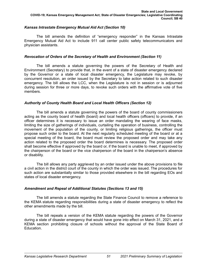# *Kansas Intrastate Emergency Mutual Aid Act (Section 10)*

The bill amends the definition of "emergency responder" in the Kansas Intrastate Emergency Mutual Aid Act to include 911 call center public safety telecommunicators and physician assistants.

# *Revocation of Orders of the Secretary of Health and Environment (Section 11)*

The bill amends a statute governing the powers of the Secretary of Health and Environment (Secretary) to provide that, in the event of a state of disaster emergency declared by the Governor or a state of local disaster emergency, the Legislature may revoke, by concurrent resolution, an order issued by the Secretary to take action related to such disaster emergency. The bill allows the LCC, when the Legislature is not in session or is adjourned during session for three or more days, to revoke such orders with the affirmative vote of five members.

# *Authority of County Health Board and Local Health Officers (Section 12)*

The bill amends a statute governing the powers of the board of county commissioners acting as the county board of health (board) and local health officers (officers) to provide, if an officer determines it is necessary to issue an order mandating the wearing of face masks, limiting the size of gatherings of individuals, curtailing the operation of business, controlling the movement of the population of the county, or limiting religious gatherings, the officer must propose such order to the board. At the next regularly scheduled meeting of the board or at a special meeting of the board, the board must review the proposed order and may take any action related to the proposed order the board determines is necessary. The proposed order shall become effective if approved by the board or, if the board is unable to meet, if approved by the chairperson of the board or the vice chairperson of the board in the chairperson's absence or disability.

The bill allows any party aggrieved by an order issued under the above provisions to file a civil action in the district court of the county in which the order was issued. The procedures for such action are substantially similar to those provided elsewhere in the bill regarding EOs and states of local disaster emergency.

# *Amendment and Repeal of Additional Statutes (Sections 13 and 15)*

The bill amends a statute regarding the State Finance Council to remove a reference to the KEMA statute regarding responsibilities during a state of disaster emergency to reflect the other amendments made by the bill.

The bill repeals a version of the KEMA statute regarding the powers of the Governor during a state of disaster emergency that would have gone into effect on March 31, 2021, and a KEMA section prohibiting closure of schools without the approval of the State Board of Education.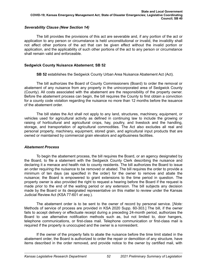# *Severability Clause (New Section 14)*

The bill provides the provisions of this act are severable and, if any portion of the act or application to any person or circumstance is held unconstitutional or invalid, the invalidity shall not affect other portions of the act that can be given effect without the invalid portion or application, and the applicability of such other portions of the act to any person or circumstance shall remain valid and enforceable.

# **Sedgwick County Nuisance Abatement; SB 52**

**SB 52** establishes the Sedgwick County Urban Area Nuisance Abatement Act (Act).

The bill authorizes the Board of County Commissioners (Board) to order the removal or abatement of any nuisance from any property in the unincorporated area of Sedgwick County (County). All costs associated with the abatement are the responsibility of the property owner. Before the abatement process can begin, the bill requires the County to first obtain a conviction for a county code violation regarding the nuisance no more than 12 months before the issuance of the abatement order.

The bill states the Act shall not apply to any land, structures, machinery, equipment, or vehicles used for agricultural activity as defined in continuing law to include the growing or raising of horticultural and agricultural crops, hay, poultry, and livestock and the handling, storage, and transportation of agricultural commodities. The Act also excludes all real and personal property, machinery, equipment, stored grain, and agricultural input products that are owned or maintained by commercial grain elevators and agribusiness facilities.

# *Abatement Process*

To begin the abatement process, the bill requires the Board, or an agency designated by the Board, to file a statement with the Sedgwick County Clerk describing the nuisance and declaring it a menace and health risk to county residents. The bill authorizes the Board to issue an order requiring the nuisance to be removed or abated. The bill requires the order to provide a minimum of ten days (as specified in the order) for the owner to remove and abate the nuisance; the Board is empowered to grant extensions to the time period in question. The property owner is also provided the right to request a hearing before the Board if the request is made prior to the end of the waiting period or any extension. The bill subjects any decision made by the Board or its designated representative on this matter to review under the Kansas Judicial Review Act (KSA 77-601 *et seq.*).

The abatement order is to be sent to the owner of record by personal service. [*Note:* Methods of service of process are provided in KSA 2020 Supp. 60-303.] The bill, if the owner fails to accept delivery or effectuate receipt during a preceding 24-month period, authorizes the Board to use alternative notification methods such as, but not limited to, door hangers, telephone communications, or first-class mail. Telephone communication or first-class mail is required if the property is unoccupied and the owner is a nonresident.

If the owner of the property fails to abate the nuisance before the time limit stated in the abatement order, the Board is authorized to order the repair or demolition of any structure, have items described in the order removed, and provide notice to the owner by certified mail, with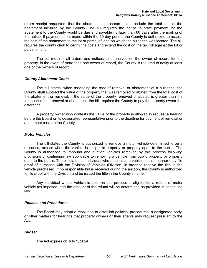return receipt requested, that the abatement has occurred and include the total cost of the abatement incurred by the County. The bill requires the notice to state payment for the abatement to the County would be due and payable no later than 60 days after the mailing of the notice. If payment is not made within the 60-day period, the County is authorized to assess the cost of the abatement to the lot or parcel of land on which the nuisance was located. The bill requires the county clerk to certify the costs and extend the cost on the tax roll against the lot or parcel of land.

The bill requires all orders and notices to be served on the owner of record for the property. In the event of more than one owner of record, the County is required to notify at least one of the owners of record.

## *County Abatement Costs*

The bill states, when assessing the cost of removal or abatement of a nuisance, the County shall subtract the value of the property that was removed or abated from the total cost of the abatement or removal. If the value of the property removed or abated is greater than the total cost of the removal or abatement, the bill requires the County to pay the property owner the difference.

A property owner who contests the value of the property is allowed to request a hearing before the Board or its designated representative prior to the deadline for payment of removal or abatement costs to the County.

### *Motor Vehicles*

The bill states the County is authorized to remove a motor vehicle determined to be a nuisance, except when the vehicle is on public property or property open to the public. The County is authorized to impound and auction vehicles removed by this process following provisions of continuing law applicable to removing a vehicle from public property or property open to the public. The bill states an individual who purchases a vehicle in this manner may file proof of purchase with the Division of Vehicles (Division) in order to receive the title to the vehicle purchased. If no responsible bid is received during the auction, the County is authorized to file proof with the Division and be issued the title in the County's name.

Any individual whose vehicle is sold *via* this process is eligible for a refund of motor vehicle tax imposed, and the amount of the refund will be determined as provided in continuing law.

# *Policies and Procedures*

The Board may adopt a resolution to establish policies, procedures, a designated body, or other matters for hearings that property owners or their agents may request pursuant to the Act.

# *Sunset*

The Act expires on July 1, 2024.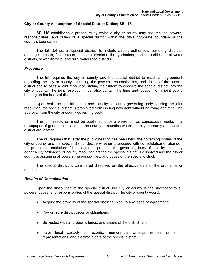#### **City or County Assumption of Special District Duties; SB 118**

**SB 118** establishes a procedure by which a city or county may assume the powers, responsibilities, and duties of a special district within the city's corporate boundary or the county's boundaries.

The bill defines a "special district" to include airport authorities, cemetery districts, drainage districts, fire districts, industrial districts, library districts, port authorities, rural water districts, sewer districts, and rural watershed districts.

#### *Procedure*

The bill requires the city or county and the special district to reach an agreement regarding the city or county assuming the powers, responsibilities, and duties of the special district and to pass a joint resolution stating their intent to dissolve the special district into the city or county. The joint resolution must also contain the time and location for a joint public hearing on the issue of dissolution.

Upon both the special district and the city or county governing body passing the joint resolution, the special district is prohibited from issuing new debt without notifying and receiving approval from the city or county governing body.

The joint resolution must be published once a week for two consecutive weeks in a newspaper of general circulation in the county or counties where the city or county and special district are located.

The bill requires that, after the public hearing has been held, the governing bodies of the city or county and the special district decide whether to proceed with consolidation or abandon the proposed dissolution. If both agree to proceed, the governing body of the city or county adopt a city ordinance or county resolution stating the special district is dissolved and the city or county is assuming all powers, responsibilities, and duties of the special district.

The special district is considered dissolved on the effective date of the ordinance or resolution.

#### *Results of Consolidation*

Upon the dissolution of the special district, the city or county is the successor to all powers, duties, and responsibilities of the special district. The city or county would:

- Acquire the property of the special district subject to any lease or agreement;
- Pay or retire district debts or obligations;
- Be vested with all property, funds, and assets of the district; and
- Have legal custody of records, memoranda, writings, entries, prints, representations, and electronic data of the special district.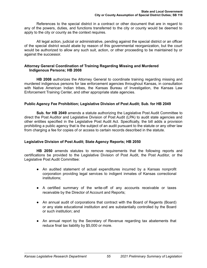References to the special district in a contract or other document that are in regard to any of the powers, duties, and functions transferred to the city or county would be deemed to apply to the city or county as the context requires.

All legal action, judicial or administrative, pending against the special district or an officer of the special district would abate by reason of this governmental reorganization, but the court would be authorized to allow any such suit, action, or other proceeding to be maintained by or against the successor.

## **Attorney General Coordination of Training Regarding Missing and Murdered Indigenous Persons; HB 2008**

**HB 2008** authorizes the Attorney General to coordinate training regarding missing and murdered indigenous persons for law enforcement agencies throughout Kansas, in consultation with Native American Indian tribes, the Kansas Bureau of Investigation, the Kansas Law Enforcement Training Center, and other appropriate state agencies.

# **Public Agency Fee Prohibition; Legislative Division of Post Audit; Sub. for HB 2049**

**Sub. for HB 2049** amends a statute authorizing the Legislative Post Audit Committee to direct the Post Auditor and Legislative Division of Post Audit (LPA) to audit state agencies and other entities specified in the Legislative Post Audit Act. Specifically, the bill adds a provision prohibiting a public agency that is the subject of an audit pursuant to the statute or any other law from charging a fee for copies of or access to certain records described in the statute.

# **Legislative Division of Post Audit; State Agency Reports; HB 2050**

**HB 2050** amends statutes to remove requirements that the following reports and certifications be provided to the Legislative Division of Post Audit, the Post Auditor, or the Legislative Post Audit Committee:

- An audited statement of actual expenditures incurred by a Kansas nonprofit corporation providing legal services to indigent inmates of Kansas correctional institutions;
- A certified summary of the write-off of any accounts receivable or taxes receivable by the Director of Account and Reports;
- An annual audit of corporations that contract with the Board of Regents (Board) or any state educational institution and are substantially controlled by the Board or such institution; and
- An annual report by the Secretary of Revenue regarding tax abatements that reduce final tax liability by \$5,000 or more.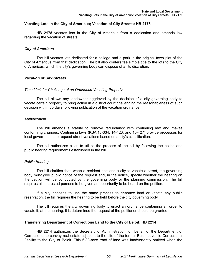## **Vacating Lots in the City of Americus; Vacation of City Streets; HB 2178**

**HB 2178** vacates lots in the City of Americus from a dedication and amends law regarding the vacation of streets.

## *City of Americus*

The bill vacates lots dedicated for a college and a park in the original town plat of the City of Americus from that dedication. The bill also confers fee simple title to the lots to the City of Americus, which the city's governing body can dispose of at its discretion.

## *Vacation of City Streets*

#### *Time Limit for Challenge of an Ordinance Vacating Property*

The bill allows any landowner aggrieved by the decision of a city governing body to vacate certain property to bring action in a district court challenging the reasonableness of such decision within 30 days following publication of the vacation ordinance.

## *Authorization*

The bill amends a statute to remove redundancy with continuing law and makes conforming changes. Continuing laws (KSA 13-334, 14-423, and 15-427) provide processes for local governments to request street vacations based on a city's classification.

The bill authorizes cities to utilize the process of the bill by following the notice and public hearing requirements established in the bill.

#### *Public Hearing*

The bill clarifies that, when a resident petitions a city to vacate a street, the governing body must give public notice of the request and, in the notice, specify whether the hearing on the petition will be conducted by the governing body or the planning commission. The bill requires all interested persons to be given an opportunity to be heard on the petition.

If a city chooses to use the same process to deannex land or vacate any public reservation, the bill requires the hearing to be held before the city governing body.

The bill requires the city governing body to enact an ordinance containing an order to vacate if, at the hearing, it is determined the request of the petitioner should be granted.

#### **Transferring Department of Corrections Land to the City of Beloit; HB 2214**

**HB 2214** authorizes the Secretary of Administration, on behalf of the Department of Corrections, to convey real estate adjacent to the site of the former Beloit Juvenile Correctional Facility to the City of Beloit. This 6.38-acre tract of land was inadvertently omitted when the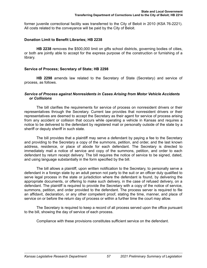former juvenile correctional facility was transferred to the City of Beloit in 2010 (KSA 76-2221). All costs related to the conveyance will be paid by the City of Beloit.

## **Donation Limit to Benefit Libraries; HB 2238**

**HB 2238** removes the \$500,000 limit on gifts school districts, governing bodies of cities, or both are jointly able to accept for the express purpose of the construction or furnishing of a library.

## **Service of Process; Secretary of State; HB 2298**

**HB 2298** amends law related to the Secretary of State (Secretary) and service of process, as follows.

### *Service of Process against Nonresidents in Cases Arising from Motor Vehicle Accidents or Collisions*

The bill clarifies the requirements for service of process on nonresident drivers or their representatives through the Secretary. Current law provides that nonresident drivers or their representatives are deemed to accept the Secretary as their agent for service of process arising from any accident or collision that occurs while operating a vehicle in Kansas and requires a notice to be delivered to the defendant by registered mail or personally outside of the state by a sheriff or deputy sheriff in such state.

The bill provides that a plaintiff may serve a defendant by paying a fee to the Secretary and providing to the Secretary a copy of the summons, petition, and order, and the last known address, residence, or place of abode for each defendant. The Secretary is directed to immediately mail a notice of service and copy of the summons, petition, and order to each defendant by return receipt delivery. The bill requires the notice of service to be signed, dated, and using language substantially in the form specified by the bill.

The bill allows a plaintiff, upon written notification to the Secretary, to personally serve a defendant in a foreign state by an adult person not party to the suit or an officer duly qualified to serve legal process in the state or jurisdiction where the defendant is found, by delivering the appropriate documents, or offering to make such delivery, in the case of refused delivery, on a defendant. The plaintiff is required to provide the Secretary with a copy of the notice of service, summons, petition, and order provided to the defendant. The process server is required to file an affidavit, declaration, or any other competent proof, stating the time, manner, and place of service on or before the return day of process or within a further time the court may allow.

The Secretary is required to keep a record of all process served upon the office pursuant to the bill, showing the day of service of each process.

Compliance with these provisions constitutes sufficient service on the defendant.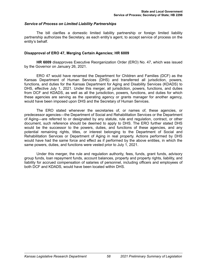## *Service of Process on Limited Liability Partnerships*

The bill clarifies a domestic limited liability partnership or foreign limited liability partnership authorizes the Secretary, as each entity's agent, to accept service of process on the entity's behalf.

## **Disapproval of ERO 47, Merging Certain Agencies; HR 6009**

**HR 6009** disapproves Executive Reorganization Order (ERO) No. 47, which was issued by the Governor on January 26, 2021.

ERO 47 would have renamed the Department for Children and Families (DCF) as the Kansas Department of Human Services (DHS) and transferred all jurisdiction, powers, functions, and duties for the Kansas Department for Aging and Disability Services (KDADS) to DHS, effective July 1, 2021. Under this merger, all jurisdiction, powers, functions, and duties from DCF and KDADS, as well as all the jurisdiction, powers, functions, and duties for which these agencies are serving as the operating agency or grants manager for another agency, would have been imposed upon DHS and the Secretary of Human Services.

The ERO stated whenever the secretaries of, or names of, these agencies, or predecessor agencies—the Department of Social and Rehabilitation Services or the Department of Aging—are referred to or designated by any statute, rule and regulation, contract, or other document, such reference should be deemed to apply to DHS. The ERO further stated DHS would be the successor to the powers, duties, and functions of these agencies, and any potential remaining rights, titles, or interest belonging to the Department of Social and Rehabilitation Services or Department of Aging in real property. Actions performed by DHS would have had the same force and effect as if performed by the above entities, in which the same powers, duties, and functions were vested prior to July 1, 2021.

Under this merger, the rule and regulation authority, fees, funds, grant funds, advisory group funds, loan repayment funds, account balances, property and property rights, liability, and liability for accrued compensation of salaries of personnel, including officers and employees of both DCF and KDADS, would have been located within DHS.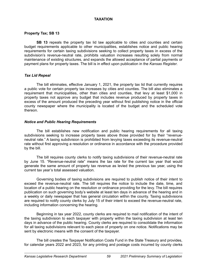# **TAXATION**

# **Property Tax; SB 13**

**SB 13** repeals the property tax lid law applicable to cities and counties and certain budget requirements applicable to other municipalities, establishes notice and public hearing requirements for certain taxing subdivisions seeking to collect property taxes in excess of the subdivision's revenue-neutral rate, prohibits valuation increases resulting solely from normal maintenance of existing structures, and expands the allowed acceptance of partial payments or payment plans for property taxes. The bill is in effect upon publication in the *Kansas Register*.

# *Tax Lid Repeal*

The bill eliminates, effective January 1, 2021, the property tax lid that currently requires a public vote for certain property tax increases by cities and counties. The bill also eliminates a requirement that municipalities, other than cities and counties, that levy at least \$1,000 in property taxes not approve any budget that includes revenue produced by property taxes in excess of the amount produced the preceding year without first publishing notice in the official county newspaper where the municipality is located of the budget and the scheduled vote thereon.

# *Notice and Public Hearing Requirements*

The bill establishes new notification and public hearing requirements for all taxing subdivisions seeking to increase property taxes above those provided for by their "revenueneutral rate." A taxing subdivision is prohibited from levying taxes exceeding its revenue-neutral rate without first approving a resolution or ordinance in accordance with the procedure provided by the bill.

The bill requires county clerks to notify taxing subdivisions of their revenue-neutral rate by June 15. "Revenue-neutral rate" means the tax rate for the current tax year that would generate the same amount of property tax revenue as levied the previous tax year, using the current tax year's total assessed valuation.

Governing bodies of taxing subdivisions are required to publish notice of their intent to exceed the revenue-neutral rate. The bill requires the notice to include the date, time, and location of a public hearing on the resolution or ordinance providing for the levy. The bill requires publication on such governing body's website at least ten days in advance of the hearing and in a weekly or daily newspaper that has general circulation within the county. Taxing subdivisions are required to notify county clerks by July 15 of their intent to exceed the revenue-neutral rate, including information concerning the hearing.

Beginning in tax year 2022, county clerks are required to mail notification of the intent of the taxing subdivision to each taxpayer with property within the taxing subdivision at least ten days in advance of the public hearing. County clerks are required to consolidate the information for all taxing subdivisions relevant to each piece of property on one notice. Notifications may be sent by electronic means with the consent of the taxpayer.

The bill creates the Taxpayer Notification Costs Fund in the State Treasury and provides, for calendar years 2022 and 2023, for any printing and postage costs incurred by county clerks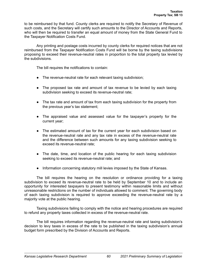to be reimbursed by that fund. County clerks are required to notify the Secretary of Revenue of such costs, and the Secretary will certify such amounts to the Director of Accounts and Reports, who will then be required to transfer an equal amount of money from the State General Fund to the Taxpayer Notification Costs Fund.

Any printing and postage costs incurred by county clerks for required notices that are not reimbursed from the Taxpayer Notification Costs Fund will be borne by the taxing subdivisions proposing to exceed their revenue-neutral rates in proportion to the total property tax levied by the subdivisions.

The bill requires the notifications to contain:

- The revenue-neutral rate for each relevant taxing subdivision;
- The proposed tax rate and amount of tax revenue to be levied by each taxing subdivision seeking to exceed its revenue-neutral rate;
- The tax rate and amount of tax from each taxing subdivision for the property from the previous year's tax statement;
- The appraised value and assessed value for the taxpayer's property for the current year;
- The estimated amount of tax for the current year for each subdivision based on the revenue-neutral rate and any tax rate in excess of the revenue-neutral rate and the difference between such amounts for any taxing subdivision seeking to exceed its revenue-neutral rate;
- The date, time, and location of the public hearing for each taxing subdivision seeking to exceed its revenue-neutral rate; and
- Information concerning statutory mill levies imposed by the State of Kansas.

The bill requires the hearing on the resolution or ordinance providing for a taxing subdivision to exceed its revenue-neutral rate to be held by September 10 and to include an opportunity for interested taxpayers to present testimony within reasonable limits and without unreasonable restrictions on the number of individuals allowed to comment. The governing body of each taxing subdivision is required to approve exceeding the revenue-neutral rate by a majority vote at the public hearing.

Taxing subdivisions failing to comply with the notice and hearing procedures are required to refund any property taxes collected in excess of the revenue-neutral rate.

The bill requires information regarding the revenue-neutral rate and taxing subdivision's decision to levy taxes in excess of the rate to be published in the taxing subdivision's annual budget form prescribed by the Division of Accounts and Reports.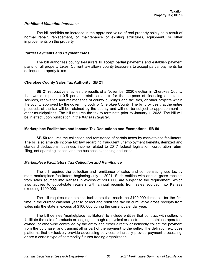### *Prohibited Valuation Increases*

The bill prohibits an increase in the appraised value of real property solely as a result of normal repair, replacement, or maintenance of existing structures, equipment, or other improvements on the property.

## *Partial Payments and Payment Plans*

The bill authorizes county treasurers to accept partial payments and establish payment plans for all property taxes. Current law allows county treasurers to accept partial payments for delinquent property taxes.

# **Cherokee County Sales Tax Authority; SB 21**

**SB 21** retroactively ratifies the results of a November 2020 election in Cherokee County that would impose a 0.5 percent retail sales tax for the purpose of financing ambulance services, renovation and maintenance of county buildings and facilities, or other projects within the county approved by the governing body of Cherokee County. The bill provides that the entire proceeds of the tax will be retained by the county and will not be subject to apportionment to other municipalities. The bill requires the tax to terminate prior to January 1, 2033. The bill will be in effect upon publication in the *Kansas Register*.

# **Marketplace Facilitators and Income Tax Deductions and Exemptions; SB 50**

**SB 50** requires the collection and remittance of certain taxes by marketplace facilitators. The bill also amends income tax law regarding fraudulent unemployment benefits, itemized and standard deductions, business income related to 2017 federal legislation, corporation return filing, net operating losses, and the business expensing deduction.

# *Marketplace Facilitators Tax Collection and Remittance*

The bill requires the collection and remittance of sales and compensating use tax by most marketplace facilitators beginning July 1, 2021. Such entities with annual gross receipts from sales sourced into Kansas in excess of \$100,000 are subject to the requirement, which also applies to out-of-state retailers with annual receipts from sales sourced into Kansas exeeding \$100,000.

The bill requires marketplace facilitators that reach the \$100,000 threshold for the first time in the current calendar year to collect and remit the tax on cumulative gross receipts from sales into the state in excess of \$100,000 during the current calendar year.

The bill defines "marketplace facilitators" to include entities that contract with sellers to facilitate the sale of products or lodgings through a physical or electronic marketplace operated, owned, or otherwise controlled by the entity and either directly or indirectly collect the payment from the purchaser and transmit all or part of the payment to the seller. The definition excludes platforms that exclusively provide advertising services, principally provide payment processing, or are a certain type of commodity futures trading organization.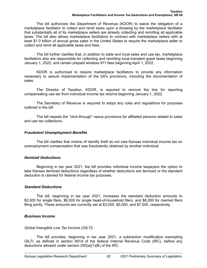The bill authorizes the Department of Revenue (KDOR) to waive the obligation of a marketplace facilitator to collect and remit taxes upon a showing by the marketplace facilitator that substantially all of its marketplace sellers are already collecting and remitting all applicable taxes. The bill also allows marketplace facilitators to contract with marketplace sellers with at least \$1.0 billion of annual gross sales in the United States to require the marketplace seller to collect and remit all applicable taxes and fees.

The bill further clarifies that, in addition to state and local sales and use tax, marketplace facilitators also are responsible for collecting and remitting local transient guest taxes beginning January 1, 2022, and certain prepaid wireless 911 fees beginning April 1, 2022.

KDOR is authorized to require marketplace facilitators to provide any information necessary to assure implementation of the bill's provisions, including the documentation of sales.

The Director of Taxation, KDOR, is required to remove the line for reporting compensating use tax from individual income tax returns beginning January 1, 2022.

The Secretary of Revenue is required to adopt any rules and regulations for purposes outlined in the bill.

The bill repeals the "click-through" nexus provisions for affiliated persons related to sales and use tax collections.

# *Fraudulent Unemployment Benefits*

The bill clarifies that victims of identify theft do not owe Kansas individual income tax on unemployment compensation that was fraudulently obtained by another individual.

# *Itemized Deductions*

Beginning in tax year 2021, the bill provides individual income taxpayers the option to take Kansas itemized deductions regardless of whether deductions are itemized or the standard deduction is claimed for federal income tax purposes.

# *Standard Deductions*

The bill, beginning in tax year 2021, increases the standard deduction amounts to \$3,500 for single filers, \$6,000 for single head-of-household filers, and \$8,000 for married filers filing jointly. These amounts are currently set at \$3,000, \$5,500, and \$7,500, respectively.

# *Business Income*

# *Global Intangible Low Tax Income (GILTI)*

The bill provides, beginning in tax year 2021, a subtraction modification exempting GILTI, as defined in section 951A of the federal Internal Revenue Code (IRC), before any deductions allowed under section 250(a)(1)(B) of the IRC.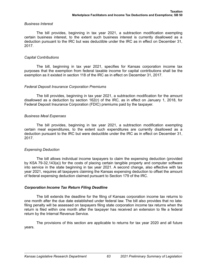## *Business Interest*

The bill provides, beginning in tax year 2021, a subtraction modification exempting certain business interest, to the extent such business interest is currently disallowed as a deduction pursuant to the IRC but was deductible under the IRC as in effect on December 31, 2017.

## *Capital Contributions*

The bill, beginning in tax year 2021, specifies for Kansas corporation income tax purposes that the exemption from federal taxable income for capital contributions shall be the exemption as it existed in section 118 of the IRC as in effect on December 31, 2017.

# *Federal Deposit Insurance Corporation Premiums*

The bill provides, beginning in tax year 2021, a subtraction modification for the amount disallowed as a deduction by section 162(r) of the IRC, as in effect on January 1, 2018, for Federal Deposit Insurance Corporation (FDIC) premiums paid by the taxpayer.

## *Business Meal Expenses*

The bill provides, beginning in tax year 2021, a subtraction modification exempting certain meal expenditures, to the extent such expenditures are currently disallowed as a deduction pursuant to the IRC but were deductible under the IRC as in effect on December 31, 2017.

# *Expensing Deduction*

The bill allows individual income taxpayers to claim the expensing deduction (provided by KSA 79-32,143(a)) for the costs of placing certain tangible property and computer software into service in the state beginning in tax year 2021. A second change, also effective with tax year 2021, requires all taxpayers claiming the Kansas expensing deduction to offset the amount of federal expensing deduction claimed pursuant to Section 179 of the IRC.

# *Corporation Income Tax Return Filing Deadline*

The bill extends the deadline for the filing of Kansas corporation income tax returns to one month after the due date established under federal law. The bill also provides that no latefiling penalty will be assessed on taxpayers filing state corporation income tax returns when the return is filed within one month after the taxpayer has received an extension to file a federal return by the Internal Revenue Service.

The provisions of this section are applicable to returns for tax year 2020 and all future years.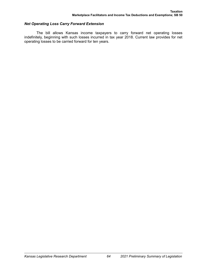# *Net Operating Loss Carry Forward Extension*

The bill allows Kansas income taxpayers to carry forward net operating losses indefinitely, beginning with such losses incurred in tax year 2018. Current law provides for net operating losses to be carried forward for ten years.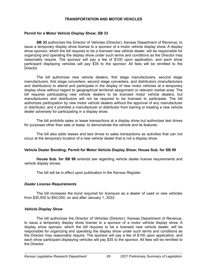# **TRANSPORTATION AND MOTOR VEHICLES**

#### **Permit for a Motor Vehicle Display Show; SB 33**

**SB 33** authorizes the Director of Vehicles (Director), Kansas Department of Revenue, to issue a temporary display show license to a sponsor of a motor vehicle display show. A display show sponsor, which the bill requires to be a licensed new vehicle dealer, will be responsible for organizing and operating the display show under such terms and conditions as the Director may reasonably require. The sponsor will pay a fee of \$100 upon application, and each show participant displaying vehicles will pay \$35 to the sponsor. All fees will be remitted to the **Director** 

The bill authorizes new vehicle dealers, first stage manufacturers, second stage manufacturers, first stage converters, second stage converters, and distributors (manufacturers and distributors) to attend and participate in the display of new motor vehicles at a temporary display show without regard to geographical territorial assignment or relevant market area. The bill requires participating new vehicle dealers to be licensed motor vehicle dealers, but manufacturers and distributors will not be required to be licensed to participate. The bill authorizes participation by new motor vehicle dealers without the approval of any manufacturer or distributor, and it prohibits a manufacturer or distributor from barring or treating a new vehicle dealer adversely for participating in a display show.

The bill prohibits sales or lease transactions at a display show but authorizes test drives for purposes other than sale or lease, to demonstrate the vehicle and its features.

The bill also adds leases and test drives to sales transactions as activities that can not occur at the temporary location of a new vehicle dealer that is not a display show.

# **Vehicle Dealer Bonding; Permit for Motor Vehicle Display Show; House Sub. for SB 99**

**House Sub. for SB 99** amends law regarding vehicle dealer license requirements and vehicle display shows.

The bill will be in effect upon publication in the *Kansas Register*.

#### *Dealer License Requirements*

The bill increases the bond required for licensure as a dealer of used or new vehicles from \$30,000 to \$50,000, on and after January 1, 2022.

# *Vehicle Display Show*

The bill authorizes the Director of Vehicles (Director), Kansas Department of Revenue, to issue a temporary display show license to a sponsor of a motor vehicle display show. A display show sponsor, which the bill requires to be a licensed new vehicle dealer, will be responsible for organizing and operating the display show under such terms and conditions as the Director may reasonably require. The sponsor will pay a fee of \$100 upon application, and each show participant displaying vehicles will pay \$35 to the sponsor. All fees will be remitted to the Director.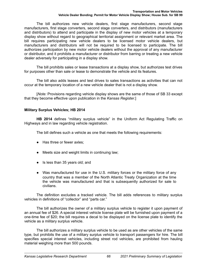The bill authorizes new vehicle dealers, first stage manufacturers, second stage manufacturers, first stage converters, second stage converters, and distributors (manufacturers and distributors) to attend and participate in the display of new motor vehicles at a temporary display show without regard to geographical territorial assignment or relevant market area. The bill requires participating new vehicle dealers to be licensed motor vehicle dealers, but manufacturers and distributors will not be required to be licensed to participate. The bill authorizes participation by new motor vehicle dealers without the approval of any manufacturer or distributor, and it prohibits a manufacturer or distributor from barring or treating a new vehicle dealer adversely for participating in a display show.

The bill prohibits sales or lease transactions at a display show, but authorizes test drives for purposes other than sale or lease to demonstrate the vehicle and its features.

The bill also adds leases and test drives to sales transactions as activities that can not occur at the temporary location of a new vehicle dealer that is not a display show.

[*Note:* Provisions regarding vehicle display shows are the same of those of SB 33 except that they become effective upon publication in the *Kansas Register*.]

# **Military Surplus Vehicles; HB 2014**

**HB 2014** defines "military surplus vehicle" in the Uniform Act Regulating Traffic on Highways and in law regarding vehicle registration.

The bill defines such a vehicle as one that meets the following requirements:

- Has three or fewer axles;
- Meets size and weight limits in continuing law;
- Is less than 35 years old; and
- Was manufactured for use in the U.S. military forces or the military force of any country that was a member of the North Atlantic Treaty Organization at the time the vehicle was manufactured and that is subsequently authorized for sale to civilians.

The definition excludes a tracked vehicle. The bill adds references to military surplus vehicles in definitions of "collector" and "parts car."

The bill authorizes the owner of a military surplus vehicle to register it upon payment of an annual fee of \$26. A special interest vehicle license plate will be furnished upon payment of a one-time fee of \$20; the bill requires a decal to be displayed on the license plate to identify the vehicle as a military surplus vehicle.

The bill authorizes a military surplus vehicle to be used as are other vehicles of the same type, but prohibits the use of a military surplus vehicle to transport passengers for hire. The bill specifies special interest vehicles, including street rod vehicles, are prohibited from hauling material weighing more than 500 pounds.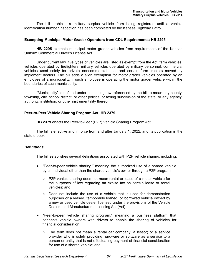The bill prohibits a military surplus vehicle from being registered until a vehicle identification number inspection has been completed by the Kansas Highway Patrol.

## **Exempting Municipal Motor Grader Operators from CDL Requirements; HB 2295**

**HB 2295** exempts municipal motor grader vehicles from requirements of the Kansas Uniform Commercial Driver's License Act.

Under current law, five types of vehicles are listed as exempt from the Act: farm vehicles, vehicles operated by firefighters, military vehicles operated by military personnel, commercial vehicles used solely for private noncommercial use, and certain farm tractors moved by implement dealers. The bill adds a sixth exemption for motor grader vehicles operated by an employee of a municipality, if such employee is operating the motor grader vehicle within the boundaries of such municipality.

"Municipality" is defined under continuing law referenced by the bill to mean any county, township, city, school district, or other political or taxing subdivision of the state, or any agency, authority, institution, or other instrumentality thereof.

## **Peer-to-Peer Vehicle Sharing Program Act; HB 2379**

**HB 2379** enacts the Peer-to-Peer (P2P) Vehicle Sharing Program Act.

The bill is effective and in force from and after January 1, 2022, and its publication in the statute book.

#### *Definitions*

The bill establishes several definitions associated with P2P vehicle sharing, including:

- "Peer-to-peer vehicle sharing," meaning the authorized use of a shared vehicle by an individual other than the shared vehicle's owner through a P2P program:
	- P2P vehicle sharing does not mean rental or lease of a motor vehicle for the purposes of law regarding an excise tax on certain lease or rental vehicles; and
	- $\circ$  Does not include the use of a vehicle that is used for demonstration purposes or a leased, temporarily loaned, or borrowed vehicle owned by a new or used vehicle dealer licensed under the provisions of the Vehicle Dealers and Manufacturers Licensing Act (Act);
- "Peer-to-peer vehicle sharing program," meaning a business platform that connects vehicle owners with drivers to enable the sharing of vehicles for financial consideration:
	- The term does not mean a rental car company; a lessor; or a service provider who is solely providing hardware or software as a service to a person or entity that is not effectuating payment of financial consideration for use of a shared vehicle; and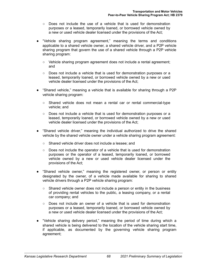- $\circ$  Does not include the use of a vehicle that is used for demonstration purposes or a leased, temporarily loaned, or borrowed vehicle owned by a new or used vehicle dealer licensed under the provisions of the Act;
- "Vehicle sharing program agreement," meaning the terms and conditions applicable to a shared vehicle owner, a shared vehicle driver, and a P2P vehicle sharing program that govern the use of a shared vehicle through a P2P vehicle sharing program:
	- Vehicle sharing program agreement does not include a rental agreement; and
	- Does not include a vehicle that is used for demonstration purposes or a leased, temporarily loaned, or borrowed vehicle owned by a new or used vehicle dealer licensed under the provisions of the Act;
- "Shared vehicle," meaning a vehicle that is available for sharing through a P2P vehicle sharing program:
	- Shared vehicle does not mean a rental car or rental commercial-type vehicle; and
	- Does not include a vehicle that is used for demonstration purposes or a leased, temporarily loaned, or borrowed vehicle owned by a new or used vehicle dealer licensed under the provisions of the Act;
- "Shared vehicle driver," meaning the individual authorized to drive the shared vehicle by the shared vehicle owner under a vehicle sharing program agreement:
	- Shared vehicle driver does not include a lessee; and
	- Does not include the operator of a vehicle that is used for demonstration purposes or the operator of a leased, temporarily loaned, or borrowed vehicle owned by a new or used vehicle dealer licensed under the provisions of the Act;
- "Shared vehicle owner," meaning the registered owner, or person or entity designated by the owner, of a vehicle made available for sharing to shared vehicle drivers through a P2P vehicle sharing program:
	- Shared vehicle owner does not include a person or entity in the business of providing rental vehicles to the public, a leasing company, or a rental car company; and
	- Does not include an owner of a vehicle that is used for demonstration purposes or a leased, temporarily loaned, or borrowed vehicle owned by a new or used vehicle dealer licensed under the provisions of the Act;
- "Vehicle sharing delivery period," meaning the period of time during which a shared vehicle is being delivered to the location of the vehicle sharing start time, if applicable, as documented by the governing vehicle sharing program agreement;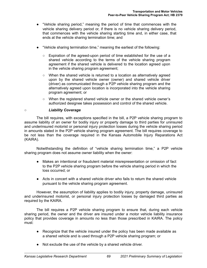- "Vehicle sharing period," meaning the period of time that commences with the vehicle sharing delivery period or, if there is no vehicle sharing delivery period, that commences with the vehicle sharing starting time and, in either case, that ends at the vehicle sharing termination time; and
- "Vehicle sharing termination time," meaning the earliest of the following:
	- Expiration of the agreed-upon period of time established for the use of a shared vehicle according to the terms of the vehicle sharing program agreement if the shared vehicle is delivered to the location agreed upon in the vehicle sharing program agreement;
	- When the shared vehicle is returned to a location as alternatively agreed upon by the shared vehicle owner (owner) and shared vehicle driver (driver) as communicated through a P2P vehicle sharing program and the alternatively agreed upon location is incorporated into the vehicle sharing program agreement; or
	- When the registered shared vehicle owner or the shared vehicle owner's authorized designee takes possession and control of the shared vehicle.

## ○ *Liability Coverage*

The bill requires, with exceptions specified in the bill, a P2P vehicle sharing program to assume liability of an owner for bodily injury or property damage to third parties for uninsured and underinsured motorist or personal injury protection losses during the vehicle sharing period in amounts stated in the P2P vehicle sharing program agreement. The bill requires coverage to be not less than the coverage required in the Kansas Automobile Injury Reparations Act (KAIRA).

Notwithstanding the definition of "vehicle sharing termination time," a P2P vehicle sharing program does not assume owner liability when the owner:

- Makes an intentional or fraudulent material misrepresentation or omission of fact to the P2P vehicle sharing program before the vehicle sharing period in which the loss occurred; or
- Acts in concert with a shared vehicle driver who fails to return the shared vehicle pursuant to the vehicle sharing program agreement.

However, the assumption of liability applies to bodily injury, property damage, uninsured and underinsured motorist, or personal injury protection losses by damaged third parties as required by the KAIRA.

The bill requires a P2P vehicle sharing program to ensure that, during each vehicle sharing period, the owner and the driver are insured under a motor vehicle liability insurance policy that provides coverage in amounts no less than those prescribed in KAIRA. The policy must:

- Recognize that the vehicle insured under the policy has been made available as a shared vehicle and is used through a P2P vehicle sharing program; or
- Not exclude the use of the vehicle by a shared vehicle driver.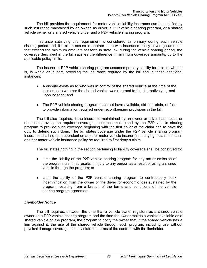The bill provides the requirement for motor vehicle liability insurance can be satisfied by such insurance maintained by an owner, as driver, a P2P vehicle sharing program, or a shared vehicle owner or a shared vehicle driver and a P2P vehicle sharing program.

Insurance satisfying this requirement is considered as primary during each vehicle sharing period and, if a claim occurs in another state with insurance policy coverage amounts that exceed the minimum amounts set forth in state law during the vehicle sharing period, the coverage described in the bill satisfies the difference in minimum coverage amounts, up to the applicable policy limits.

The insurer or P2P vehicle sharing program assumes primary liability for a claim when it is, in whole or in part, providing the insurance required by the bill and in these additional instances:

- A dispute exists as to who was in control of the shared vehicle at the time of the loss or as to whether the shared vehicle was returned to the alternatively agreedupon location; and
- The P2P vehicle sharing program does not have available, did not retain, or fails to provide information required under recordkeeping provisions in the bill.

The bill also requires, if the insurance maintained by an owner or driver has lapsed or does not provide the required coverage, insurance maintained by the P2P vehicle sharing program to provide such coverage beginning with the first dollar of the claim and to have the duty to defend such claim. The bill states coverage under the P2P vehicle sharing program insurance shall not be dependent on another motor vehicle insurer first denying a claim nor shall another motor vehicle insurance policy be required to first deny a claim.

The bill states nothing in the section pertaining to liability coverage shall be construed to:

- Limit the liability of the P2P vehicle sharing program for any act or omission of the program itself that results in injury to any person as a result of using a shared vehicle through the program; or
- Limit the ability of the P2P vehicle sharing program to contractually seek indemnification from the owner or the driver for economic loss sustained by the program resulting from a breach of the terms and conditions of the vehicle sharing program agreement.

## *Lienholder Notice*

The bill requires, between the time that a vehicle owner registers as a shared vehicle owner on a P2P vehicle sharing program and the time the owner makes a vehicle available as a shared vehicle on the program, the program to notify the owner that, if the shared vehicle has a lien against it, the use of the shared vehicle through such program, including use without physical damage coverage, could violate the terms of the contract with the lienholder.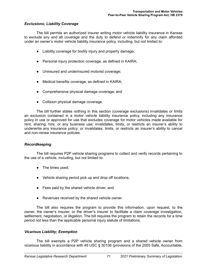## *Exclusions; Liability Coverage*

The bill permits an authorized insurer writing motor vehicle liability insurance in Kansas to exclude any and all coverage and the duty to defend or indemnify for any claim afforded under an owner's motor vehicle liability insurance policy, including, but not limited to:

- Liability coverage for bodily injury and property damage;
- Personal injury protection coverage, as defined in KAIRA;
- Uninsured and underinsured motorist coverage;
- Medical benefits coverage, as defined in KAIRA;
- Comprehensive physical damage coverage; and
- Collision physical damage coverage.

The bill further states nothing in this section (coverage exclusions) invalidates or limits an exclusion contained in a motor vehicle liability insurance policy, including any insurance policy in use or approved for use that excludes coverage for motor vehicles made available for rent, sharing, hire, or any business use; invalidates, limits, or restricts an insurer's ability to underwrite any insurance policy; or invalidates, limits, or restricts an insurer's ability to cancel and non-renew insurance policies.

## *Recordkeeping*

The bill requires P2P vehicle sharing programs to collect and verify records pertaining to the use of a vehicle, including, but not limited to:

- The times used;
- Vehicle sharing period pick up and drop off locations;
- Fees paid by the shared vehicle driver; and
- Revenues received by the shared vehicle owner.

The bill also requires the program to provide this information, upon request, to the owner, the owner's insurer, or the driver's insurer to facilitate a claim coverage investigation, settlement, negotiation, or litigation. The bill requires the program to retain the records for a time period not less than the applicable personal injury statute of limitations.

## *Vicarious Liability; Exemption*

The bill exempts a P2P vehicle sharing program and a shared vehicle owner from vicarious liability in accordance with 49 USC § 30106 (provisions of the 2005 Safe, Accountable,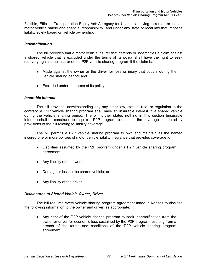Flexible, Efficient Transportation Equity Act: A Legacy for Users – applying to rented or leased motor vehicle safety and financial responsibility) and under any state or local law that imposes liability solely based on vehicle ownership.

## *Indemnification*

The bill provides that a motor vehicle insurer that defends or indemnifies a claim against a shared vehicle that is excluded under the terms of its policy shall have the right to seek recovery against the insurer of the P2P vehicle sharing program if the claim is:

- Made against the owner or the driver for loss or injury that occurs during the vehicle sharing period; and
- Excluded under the terms of its policy.

## *Insurable Interest*

The bill provides, notwithstanding any any other law, statute, rule, or regulation to the contrary, a P2P vehicle sharing program shall have an insurable interest in a shared vehicle during the vehicle sharing period. The bill further states nothing in this section (insurable interest) shall be construed to require a P2P program to maintain the coverage mandated by provisions of the bill relating to liability coverage.

The bill permits a P2P vehicle sharing program to own and maintain as the named insured one or more policies of motor vehicle liability insurance that provides coverage for:

- Liabilities assumed by the P2P program under a P2P vehicle sharing program agreement;
- Any liability of the owner;
- Damage or loss to the shared vehicle; or
- Any liability of the driver.

## *Disclosures to Shared Vehicle Owner; Driver*

The bill requires every vehicle sharing program agreement made in Kansas to disclose the following information to the owner and driver, as appropriate:

● Any right of the P2P vehicle sharing program to seek indemnification from the owner or driver for economic loss sustained by the P2P program resulting from a breach of the terms and conditions of the P2P vehicle sharing program agreement;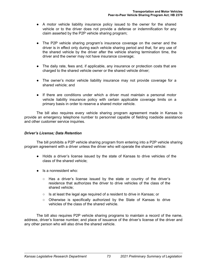- A motor vehicle liability insurance policy issued to the owner for the shared vehicle or to the driver does not provide a defense or indemnification for any claim asserted by the P2P vehicle sharing program;
- The P2P vehicle sharing program's insurance coverage on the owner and the driver is in effect only during each vehicle sharing period and that, for any use of the shared vehicle by the driver after the vehicle sharing termination time, the driver and the owner may not have insurance coverage;
- The daily rate, fees and, if applicable, any insurance or protection costs that are charged to the shared vehicle owner or the shared vehicle driver;
- The owner's motor vehicle liability insurance may not provide coverage for a shared vehicle; and
- If there are conditions under which a driver must maintain a personal motor vehicle liability insurance policy with certain applicable coverage limits on a primary basis in order to reserve a shared motor vehicle.

The bill also requires every vehicle sharing program agreement made in Kansas to provide an emergency telephone number to personnel capable of fielding roadside assistance and other customer service inquiries.

## *Driver's License; Data Retention*

The bill prohibits a P2P vehicle sharing program from entering into a P2P vehicle sharing program agreement with a driver unless the driver who will operate the shared vehicle:

- Holds a driver's license issued by the state of Kansas to drive vehicles of the class of the shared vehicle;
- Is a nonresident who:
	- Has a driver's license issued by the state or country of the driver's residence that authorizes the driver to drive vehicles of the class of the shared vehicle;
	- Is at least the legal age required of a resident to drive in Kansas; or
	- Otherwise is specifically authorized by the State of Kansas to drive vehicles of the class of the shared vehicle.

The bill also requires P2P vehicle sharing programs to maintain a record of the name, address, driver's license number, and place of issuance of the driver's license of the driver and any other person who will also drive the shared vehicle.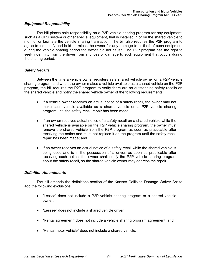## *Equipment Responsibility*

The bill places sole responsibility on a P2P vehicle sharing program for any equipment, such as a GPS system or other special equipment, that is installed in or on the shared vehicle to monitor or facilitate the vehicle sharing transaction. The bill also requires the P2P program to agree to indemnify and hold harmless the owner for any damage to or theft of such equipment during the vehicle sharing period the owner did not cause. The P2P program has the right to seek indemnity from the driver from any loss or damage to such equipment that occurs during the sharing period.

## *Safety Recalls*

Between the time a vehicle owner registers as a shared vehicle owner on a P2P vehicle sharing program and when the owner makes a vehicle available as a shared vehicle on the P2P program, the bill requires the P2P program to verify there are no outstanding safety recalls on the shared vehicle and notify the shared vehicle owner of the following requirements:

- If a vehicle owner receives an actual notice of a safety recall, the owner may not make such vehicle available as a shared vehicle on a P2P vehicle sharing program until the safety recall repair has been made;
- If an owner receives actual notice of a safety recall on a shared vehicle while the shared vehicle is available on the P2P vehicle sharing program, the owner must remove the shared vehicle from the P2P program as soon as practicable after receiving the notice and must not replace it on the program until the safety recall repair has been made; and
- If an owner receives an actual notice of a safety recall while the shared vehicle is being used and is in the possession of a driver, as soon as practicable after receiving such notice, the owner shall notify the P2P vehicle sharing program about the safety recall, so the shared vehicle owner may address the repair.

#### *Definition Amendments*

The bill amends the definitions section of the Kansas Collision Damage Waiver Act to add the following exclusions:

- "Lessor" does not include a P2P vehicle sharing program or a shared vehicle owner;
- "Lessee" does not include a shared vehicle driver;
- "Rental agreement" does not include a vehicle sharing program agreement; and
- "Rental motor vehicle" does not include a shared vehicle.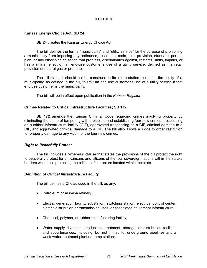## **UTILITIES**

## <span id="page-79-0"></span>**Kansas Energy Choice Act; SB 24**

#### **SB 24** creates the Kansas Energy Choice Act.

The bill defines the terms "municipality" and "utility service" for the purpose of prohibiting a municipality from imposing any ordinance, resolution, code, rule, provision, standard, permit, plan, or any other binding action that prohibits, discriminates against, restricts, limits, impairs, or has a similar effect on an end-use customer's use of a utility service, defined as the retail provision of natural gas or propane.

The bill states it should not be construed in its interpretation to restrict the ability of a municipality, as defined in the bill, to limit an end use customer's use of a utility service if that end use customer is the municipality.

The bill will be in effect upon publication in the *Kansas Register*.

## **Crimes Related to Critical Infrastructure Facilities; SB 172**

**SB 172** amends the Kansas Criminal Code regarding crimes involving property by eliminating the crime of tampering with a pipeline and establishing four new crimes: trespassing on a critical infrastructure facility (CIF), aggravated trespassing on a CIF, criminal damage to a CIF, and aggravated criminal damage to a CIF. The bill also allows a judge to order restitution for property damage to any victim of the four new crimes.

## *Right to Peacefully Protest*

The bill includes a "whereas" clause that states the provisions of the bill protect the right to peacefully protest for all Kansans and citizens of the four sovereign nations within the state's borders while also protecting the critical infrastructure located within the state.

## *Definition of Critical Infrastructure Facility*

The bill defines a CIF, as used in the bill, as any:

- Petroleum or alumina refinery;
- Electric generation facility, substation, switching station, electrical control center, electric distribution or transmission lines, or associated equipment infrastructure;
- Chemical, polymer, or rubber manufacturing facility;
- Water supply diversion, production, treatment, storage, or distribution facilities and appurtenances, including, but not limited to, underground pipelines and a wastewater treatment plant or pump station;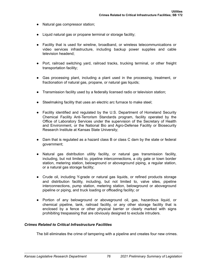- Natural gas compressor station;
- Liquid natural gas or propane terminal or storage facility;
- Facility that is used for wireline, broadband, or wireless telecommunications or video services infrastructure, including backup power supplies and cable television headend;
- Port, railroad switching yard, railroad tracks, trucking terminal, or other freight transportation facility;
- Gas processing plant, including a plant used in the processing, treatment, or fractionation of natural gas, propane, or natural gas liquids;
- Transmission facility used by a federally licensed radio or television station;
- Steelmaking facility that uses an electric arc furnace to make steel;
- Facility identified and regulated by the U.S. Department of Homeland Security Chemical Facility Anti-Terrorism Standards program, facility operated by the Office of Laboratory Services under the supervision of the Secretary of Health and Environment, or the National Bio and Agro-Defense Facility or Biosecurity Research Institute at Kansas State University;
- Dam that is regulated as a hazard class B or class C dam by the state or federal government;
- Natural gas distribution utility facility, or natural gas transmission facility, including, but not limited to, pipeline interconnections, a city gate or town border station, metering station, belowground or aboveground piping, a regular station, or a natural gas storage facility;
- Crude oil, including Y-grade or natural gas liquids, or refined products storage and distribution facility, including, but not limited to, valve sites, pipeline interconnections, pump station, metering station, belowground or aboveground pipeline or piping, and truck loading or offloading facility; or
- Portion of any belowground or aboveground oil, gas, hazardous liquid, or chemical pipeline, tank, railroad facility, or any other storage facility that is enclosed by a fence or other physical barrier or clearly marked with signs prohibiting trespassing that are obviously designed to exclude intruders.

#### *Crimes Related to Critical Infrastructure Facilities*

The bill eliminates the crime of tampering with a pipeline and creates four new crimes.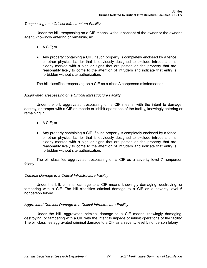## *Trespassing on a Critical Infrastructure Facility*

Under the bill, trespassing on a CIF means, without consent of the owner or the owner's agent, knowingly entering or remaining in:

- A CIF: or
- Any property containing a CIF, if such property is completely enclosed by a fence or other physical barrier that is obviously designed to exclude intruders or is clearly marked with a sign or signs that are posted on the property that are reasonably likely to come to the attention of intruders and indicate that entry is forbidden without site authorization.

The bill classifies trespassing on a CIF as a class A nonperson misdemeanor.

## *Aggravated Trespassing on a Critical Infrastructure Facility*

Under the bill, aggravated trespassing on a CIF means, with the intent to damage, destroy, or tamper with a CIF or impede or inhibit operations of the facility, knowingly entering or remaining in:

- A CIF; or
- Any property containing a CIF, if such property is completely enclosed by a fence or other physical barrier that is obviously designed to exclude intruders or is clearly marked with a sign or signs that are posted on the property that are reasonably likely to come to the attention of intruders and indicate that entry is forbidden without site authorization.

The bill classifies aggravated trespassing on a CIF as a severity level 7 nonperson felony.

#### *Criminal Damage to a Critical Infrastructure Facility*

Under the bill, criminal damage to a CIF means knowingly damaging, destroying, or tampering with a CIF. The bill classifies criminal damage to a CIF as a severity level 6 nonperson felony.

## *Aggravated Criminal Damage to a Critical Infrastructure Facility*

Under the bill, aggravated criminal damage to a CIF means knowingly damaging, destroying, or tampering with a CIF with the intent to impede or inhibit operations of the facility. The bill classifies aggravated criminal damage to a CIF as a severity level 5 nonperson felony.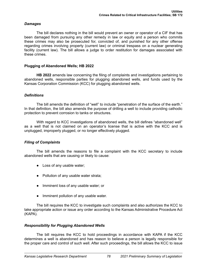## <span id="page-82-0"></span>*Damages*

The bill declares nothing in the bill would prevent an owner or operator of a CIF that has been damaged from pursuing any other remedy in law or equity and a person who commits these crimes may also be prosecuted for, convicted of, and punished for any other offense regarding crimes involving property (current law) or criminal trespass on a nuclear generating facility (current law). The bill allows a judge to order restitution for damages associated with these crimes.

## **Plugging of Abandoned Wells; HB 2022**

**HB 2022** amends law concerning the filing of complaints and investigations pertaining to abandoned wells, responsible parties for plugging abandoned wells, and funds used by the Kansas Corporation Commission (KCC) for plugging abandoned wells.

## *Definitions*

The bill amends the definition of "well" to include "penetration of the surface of the earth." In that definition, the bill also amends the purpose of drilling a well to include providing cathodic protection to prevent corrosion to tanks or structures.

With regard to KCC investigations of abandoned wells, the bill defines "abandoned well" as a well that is not claimed on an operator's license that is active with the KCC and is unplugged, improperly plugged, or no longer effectively plugged.

## *Filing of Complaints*

The bill amends the reasons to file a complaint with the KCC secretary to include abandoned wells that are causing or likely to cause:

- Loss of any usable water;
- Pollution of any usable water strata;
- Imminent loss of any usable water; or
- Imminent pollution of any usable water.

The bill requires the KCC to investigate such complaints and also authorizes the KCC to take appropriate action or issue any order according to the Kansas Administrative Procedure Act (KAPA).

#### *Responsibility for Plugging Abandoned Wells*

The bill requires the KCC to hold proceedings in accordance with KAPA if the KCC determines a well is abandoned and has reason to believe a person is legally responsible for the proper care and control of such well. After such proceedings, the bill allows the KCC to issue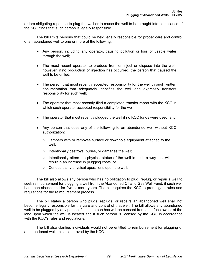orders obligating a person to plug the well or to cause the well to be brought into compliance, if the KCC finds that such person is legally responsible.

The bill limits persons that could be held legally responsible for proper care and control of an abandoned well to one or more of the following:

- Any person, including any operator, causing pollution or loss of usable water through the well;
- The most recent operator to produce from or inject or dispose into the well; however, if no production or injection has occurred, the person that caused the well to be drilled;
- The person that most recently accepted responsibility for the well through written documentation that adequately identifies the well and expressly transfers responsibility for such well;
- The operator that most recently filed a completed transfer report with the KCC in which such operator accepted responsibility for the well;
- The operator that most recently plugged the well if no KCC funds were used; and
- Any person that does any of the following to an abandoned well without KCC authorization:
	- Tampers with or removes surface or downhole equipment attached to the well;
	- Intentionally destroys, buries, or damages the well;
	- $\circ$  Intentionally alters the physical status of the well in such a way that will result in an increase in plugging costs; or
	- Conducts any physical operations upon the well.

The bill also allows any person who has no obligation to plug, replug, or repair a well to seek reimbursement for plugging a well from the Abandoned Oil and Gas Well Fund, if such well has been abandoned for five or more years. The bill requires the KCC to promulgate rules and regulations for the reimbursement process.

The bill states a person who plugs, replugs, or repairs an abandoned well shall not become legally responsible for the care and control of that well. The bill allows any abandoned well to be plugged by any person if such person has written consent from a surface owner of the land upon which the well is located and if such person is licensed by the KCC in accordance with the KCC's rules and regulations.

The bill also clarifies individuals would not be entitled to reimbursement for plugging of an abandoned well unless approved by the KCC.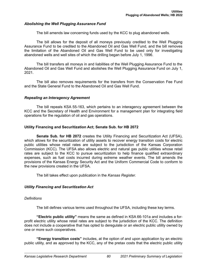#### <span id="page-84-0"></span>*Abolishing the Well Plugging Assurance Fund*

The bill amends law concerning funds used by the KCC to plug abandoned wells.

The bill allows for the deposit of all moneys previously credited to the Well Plugging Assurance Fund to be credited to the Abandoned Oil and Gas Well Fund, and the bill removes the limitation of the Abandoned Oil and Gas Well Fund to be used only for investigating abandoned wells and well sites of which the drilling began before July 1, 1996.

The bill transfers all moneys in and liabilities of the Well Plugging Assurance Fund to the Abandoned Oil and Gas Well Fund and abolishes the Well Plugging Assurance Fund on July 1, 2021.

The bill also removes requirements for the transfers from the Conservation Fee Fund and the State General Fund to the Abandoned Oil and Gas Well Fund.

## *Repealing an Interagency Agreement*

The bill repeals KSA 55-163, which pertains to an interagency agreement between the KCC and the Secretary of Health and Environment for a management plan for integrating field operations for the regulation of oil and gas operations.

## **Utility Financing and Securitization Act; Senate Sub. for HB 2072**

**Senate Sub. for HB 2072** creates the Utility Financing and Securitization Act (UFSA), which allows for the securitization of utility assets to recover energy transition costs for electric public utilities whose retail rates are subject to the jurisdiction of the Kansas Corporation Commission (KCC). The UFSA also allows electric and natural gas public utilities whose retail rates are subject to the KCC to pursue securitization to help finance qualified extraordinary expenses, such as fuel costs incurred during extreme weather events. The bill amends the provisions of the Kansas Energy Security Act and the Uniform Commercial Code to conform to the new provisions created in the UFSA.

The bill takes effect upon publication in the *Kansas Register*.

## *Utility Financing and Securitization Act*

#### *Definitions*

The bill defines various terms used throughout the UFSA, including these key terms.

**"Electric public utility"** means the same as defined in KSA 66-101a and includes a forprofit electric utility whose retail rates are subject to the jurisdiction of the KCC. The definition does not include a cooperative that has opted to deregulate or an electric public utility owned by one or more such cooperatives.

**"Energy transition costs"** includes, at the option of and upon application by an electric public utility, and as approved by the KCC, any of the pretax costs that the electric public utility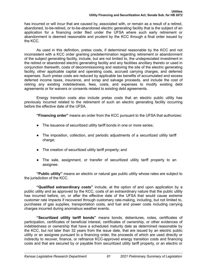has incurred or will incur that are caused by, associated with, or remain as a result of a retired, abandoned, to-be-retired, or to-be-abandoned electric generating facility that is the subject of an application for a financing order filed under the UFSA where such early retirement or abandonment is deemed reasonable and prudent by the KCC through a final order issued by the KCC.

As used in this definition, pretax costs, if determined reasonable by the KCC and not inconsistent with a KCC order granting predetermination regarding retirement or abandonment of the subject generating facility, include, but are not limited to, the undepreciated investment in the retired or abandoned electric generating facility and any facilities ancillary thereto or used in conjunction therewith, costs of decommissioning and restoring the site of the electric generating facility, other applicable capital and operating costs, accrued carrying charges, and deferred expenses. Such pretax costs are reduced by applicable tax benefits of accumulated and excess deferred income taxes, insurance, and scrap and salvage proceeds, and include the cost of retiring any existing indebtedness, fees, costs, and expenses to modify existing debt agreements or for waivers or consents related to existing debt agreements.

Energy transition costs also include pretax costs that an electric public utility has previously incurred related to the retirement of such an electric generating facility occurring before the effective date of the UFSA.

**"Financing order"** means an order from the KCC pursuant to the UFSA that authorizes:

- The issuance of securitized utility tariff bonds in one or more series;
- The imposition, collection, and periodic adjustments of a securitized utility tariff charge;
- The creation of securitized utility tariff property; and
- The sale, assignment, or transfer of securitized utility tariff property to an assignee.

**"Public utility"** means an electric or natural gas public utility whose rates are subject to the jurisdiction of the KCC.

**"Qualified extraordinary costs"** include, at the option of and upon application by a public utility and as approved by the KCC, costs of an extraordinary nature that the public utility has incurred before, on, or after the effective date of the UFSA that would cause extreme customer rate impacts if recovered through customary rate-making, including, but not limited to, purchases of gas supplies, transportation costs, and fuel and power costs including carrying charges incurred during anomalous weather events.

**"Securitized utility tariff bonds"** means bonds, debentures, notes, certificates of participation, certificates of beneficial interest, certificates of ownership, or other evidences of indebtedness or ownership that have a scheduled maturity date as determined reasonable by the KCC, but not later than 32 years from the issue date, that are issued by an electric public utility or an assignee pursuant to a financing order, the proceeds of which are used directly or indirectly to recover, finance, or refinance KCC-approved energy transition costs and financing costs and that are secured by or payable from securitized utility tariff property, or an electric or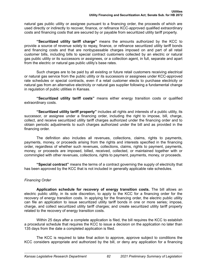natural gas public utility or assignee pursuant to a financing order, the proceeds of which are used directly or indirectly to recover, finance, or refinance KCC-approved qualified extraordinary costs and financing costs that are secured by or payable from securitized utility tariff property.

**"Securitized utility tariff charge"** means the amounts authorized by the KCC to provide a source of revenue solely to repay, finance, or refinance securitized utility tariff bonds and financing costs and that are nonbypassable charges imposed on and part of all retail customer bills, including bills to special contract customers collected by an electric or natural gas public utility or its successors or assignees, or a collection agent, in full, separate and apart from the electric or natural gas public utility's base rates.

Such charges are to be paid by all existing or future retail customers receiving electrical or natural gas service from the public utility or its successors or assignees under KCC-approved rate schedules or special contracts, even if a retail customer elects to purchase electricity or natural gas from an alternative electricity or natural gas supplier following a fundamental change in regulation of public utilities in Kansas.

**"Securitized utility tariff costs"** means either energy transition costs or qualified extraordinary costs.

**"Securitized utility tariff property"** includes all rights and interests of a public utility, its successor, or assignee under a financing order, including the right to impose, bill, charge, collect, and receive securitized utility tariff charges authorized under the financing order and to obtain periodic adjustments to such charges authorized under the bill and as provided in the financing order.

The definition also includes all revenues, collections, claims, rights to payments, payments, money, or proceeds arising from the rights and interests specified in the financing order, regardless of whether such revenues, collections, claims, rights to payment, payments, money, or proceeds are imposed, billed, received, collected, or maintained together with or commingled with other revenues, collections, rights to payment, payments, money, or proceeds.

**"Special contract"** means the terms of a contract governing the supply of electricity that has been approved by the KCC that is not included in generally applicable rate schedules.

## *Financing Order*

**Application schedule for recovery of energy transition costs.** The bill allows an electric public utility, in its sole discretion, to apply to the KCC for a financing order for the recovery of energy transition costs. In applying for the financing order, the electric public utility can file an application to issue securitized utility tariff bonds in one or more series; impose, charge, and collect securitized utility tariff charges; and create securitized utility tariff property related to the recovery of energy transition costs.

Within 25 days after a complete application is filed, the bill requires the KCC to establish a procedural schedule that requires the KCC to issue a decision on the application no later than 135 days from the date a completed application is filed.

The KCC is required to take final action to approve, approve subject to conditions the KCC considers appropriate and authorized by the bill, or deny any application for a financing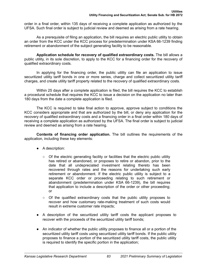order in a final order, within 135 days of receiving a complete application as authorized by the UFSA. Such final order is subject to judicial review and deemed as arising from a rate hearing.

As a prerequisite of filing an application, the bill requires an electric public utility to obtain an order from the KCC under the KCC process for predetermination under KSA 66-1239 finding retirement or abandonment of the subject generating facility to be reasonable.

**Application schedule for recovery of qualified extraordinary costs.** The bill allows a public utility, in its sole discretion, to apply to the KCC for a financing order for the recovery of qualified extraordinary costs.

In applying for the financing order, the public utility can file an application to issue securitized utility tariff bonds in one or more series, charge and collect securitized utility tariff charges, and create utility tariff property related to the recovery of qualified extraordinary costs.

Within 25 days after a complete application is filed, the bill requires the KCC to establish a procedural schedule that requires the KCC to issue a decision on the application no later than 180 days from the date a complete application is filed.

The KCC is required to take final action to approve, approve subject to conditions the KCC considers appropriate and that are authorized by the bill, or deny any application for the recovery of qualified extraordinary costs and a financing order in a final order within 180 days of receiving a complete application as authorized by the UFSA. The final order is subject to judicial review and deemed as arising from a rate hearing.

**Contents of financing order application.** The bill outlines the requirements of the application, including these key elements:

- A description:
	- Of the electric generating facility or facilities that the electric public utility has retired or abandoned, or proposes to retire or abandon, prior to the date that all undepreciated investment relating thereto has been recovered through rates and the reasons for undertaking such early retirement or abandonment. If the electric public utility is subject to a separate KCC order or proceeding relating to such retirement or abandonment (predetermination under KSA 66-1239), the bill requires that application to include a description of the order or other proceeding; or
	- $\circ$  Of the qualified extraordinary costs that the public utility proposes to recover and how customary rate-making treatment of such costs would result in extreme customer rate impacts;
- A description of the securitized utility tariff costs the applicant proposes to recover with the proceeds of the securitized utility tariff bonds;
- An indicator of whether the public utility proposes to finance all or a portion of the securitized utility tariff costs using securitized utility tariff bonds. If the public utility proposes to finance a portion of the securitized utility tariff costs, the public utility is required to identify the specific portion in the application;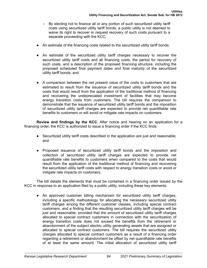- By electing not to finance all or any portion of such securitized utility tariff costs using securitized utility tariff bonds, a public utility is not deemed to waive its right to recover or request recovery of such costs pursuant to a separate proceeding with the KCC;
- An estimate of the financing costs related to the securitized utility tariff bonds;
- An estimate of the securitized utility tariff charges necessary to recover the securitized utility tariff costs and all financing costs, the period for recovery of such costs, and a description of the proposed financing structure, including the proposed scheduled final payment dates and final maturity of the securitized utility tariff bonds; and
- A comparison between the net present value of the costs to customers that are estimated to result from the issuance of securitized utility tariff bonds and the costs that would result from the application of the traditional method of financing and recovering the undepreciated investment of facilities that may become energy transition costs from customers. The bill requires the comparison to demonstrate that the issuance of securitized utility tariff bonds and the imposition of securitized utility tariff charges are expected to provide net quantifiable rate benefits to customers or will avoid or mitigate rate impacts on customers.

**Review and findings by the KCC.** After notice and hearing on an application for a financing order, the KCC is authorized to issue a financing order if the KCC finds:

- Securitized utility tariff costs described in the application are just and reasonable; and
- Proposed issuance of securitized utility tariff bonds and the imposition and collection of securitized utility tariff charges are expected to provide net quantifiable rate benefits to customers when compared to the costs that would result from the application of the traditional method of financing and recovering the securitized utility tariff costs with respect to energy transition costs or avoid or mitigate rate impacts on customers.

The bill details the elements that must be contained in a financing order issued by the KCC in response to an application filed by a public utility, including these key elements:

● An approved customer billing mechanism for securitized utility tariff charges, including a specific methodology for allocating the necessary securitized utility tariff charges among the different customer classes, including special contract customers, and a finding that the resulting securitized utility tariff charges will be just and reasonable; provided that the amount of securitized utility tariff charges allocated to special contract customers in connection with the securitization of energy transition costs does not exceed the benefits from the retirement or abandonment of the subject electric utility generating assets that are assigned or allocated to special contract customers. The bill requires the securitized utility charges allocated to special contract customers as a result of a financing order regarding a retirement or abandonment be offset by net quantifiable rate benefits of at least the same amount. The initial allocation of securitized utility tariff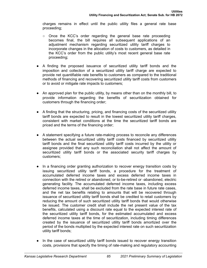charges remains in effect until the public utility files a general rate base proceeding;

- Once the KCC's order regarding the general base rate proceeding becomes final, the bill requires all subsequent applications of an adjustment mechanism regarding securitized utility tariff charges to incorporate changes in the allocation of costs to customers, as detailed in the KCC's order from the public utility's most recent general base rate proceeding;
- A finding the proposed issuance of securitized utility tariff bonds and the imposition and collection of a securitized utility tariff charge are expected to provide net quantifiable rate benefits to customers as compared to the traditional methods of financing and recovering securitized utility tariff costs from customers or to avoid or mitigate rate impacts to customers;
- An approved plan for the public utility, by means other than on the monthly bill, to provide information regarding the benefits of securitization obtained for customers through the financing order;
- A finding that the structuring, pricing, and financing costs of the securitized utility tariff bonds are expected to result in the lowest securitized utility tariff charges, consistent with market conditions at the time the securitized tariff bonds are priced and the terms of the financing order;
- A statement specifying a future rate-making process to reconcile any differences between the actual securitized utility tariff costs financed by securitized utility tariff bonds and the final securitized utility tariff costs incurred by the utility or assignee provided that any such reconciliation shall not affect the amount of securitized utility tariff bonds or the associated security tariff charges by customers;
- In a financing order granting authorization to recover energy transition costs by issuing securitized utility tariff bonds, a procedure for the treatment of accumulated deferred income taxes and excess deferred income taxes in connection with the retired or abandoned, or to-be-retired or -abandoned, electric generating facility. The accumulated deferred income taxes, including excess deferred income taxes, shall be excluded from the rate base in future rate cases, and the net tax benefits relating to amounts that will be recovered through issuance of securitized utility tariff bonds shall be credited to retail customers by reducing the amount of such securitized utility tariff bonds that would otherwise be issued. The customer credit shall include the net present value of the tax benefits, calculated using a discount rate equal to the expected interest rate of the securitized utility tariff bonds, for the estimated accumulated and excess deferred income taxes at the time of securitization, including timing differences created by the issuance of securitized utility tariff bonds amortized over the period of the bonds multiplied by the expected interest rate on such securitization utility tariff bonds;
- In the case of securitized utility tariff bonds issued to recover energy transition costs, provisions that specify the timing of rate-making and regulatory accounting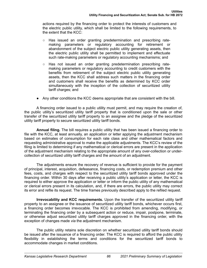actions required by the financing order to protect the interests of customers and the electric public utility, which shall be limited to the following requirements, to the extent that the KCC:

- Has issued an order granting predetermination and prescribing ratemaking parameters or regulatory accounting for retirement or abandonment of the subject electric public utility generating assets, then the electric public utility shall be permitted to implement and effectuate such rate-making parameters or regulatory accounting mechanisms; and
- Has not issued an order granting predetermination prescribing ratemaking parameters or regulatory accounting to credit customers with the benefits from retirement of the subject electric public utility generating assets, then the KCC shall address such matters in the financing order and customers shall receive the benefits as determined by KCC order simultaneously with the inception of the collection of securitized utility tariff charges; and
- Any other conditions the KCC deems appropriate that are consistent with the bill.

A financing order issued to a public utility must permit, and may require the creation of, the public utility's securitized utility tariff property that is conditioned upon the sale or other transfer of the securitized utility tariff property to an assignee and the pledge of the securitized utility tariff property to secure securitized utility tariff bonds.

**Annual filing.** The bill requires a public utility that has been issued a financing order to file with the KCC, at least annually, an application or letter applying the adjustment mechanism based on estimates of consumption for each rate class and other mathematical factors and requesting administrative approval to make the applicable adjustments. The KCC's review of the filing is limited to determining if any mathematical or clerical errors are present in the application of the adjustment mechanism relating to the appropriate amount of any over-collection or undercollection of securitized utility tariff charges and the amount of an adjustment.

The adjustments ensure the recovery of revenue is sufficient to provide for the payment of principal, interest, acquisition, defeasance, financing costs, or redemption premium and other fees, costs, and charges with respect to the securitized utility tariff bonds approved under the financing order. Within 30 days after receiving a public utility's application or letter, the KCC is required to either approve the application or letter or inform the public utility of any mathematical or clerical errors present in its calculation, and, if there are errors, the public utility may correct its error and refile its request. The time frames previously described apply to the refiled request.

**Irrevocability and KCC requirements.** Upon the transfer of the securitized utility tariff property to an assignee or the issuance of securitized utility tariff bonds, whichever occurs first, a financing order becomes irrevocable. The KCC is prohibited from amending, modifying, or terminating the financing order by a subsequent action or reduce, impair, postpone, terminate, or otherwise adjust securitized utility tariff charges approved in the financing order, with the exception of changes made *via* the adjustment mechanism.

The public utility retains sole discretion on whether securitized utility tariff bonds should be issued after the issuance of a financing order. The KCC is required to afford the public utility flexibility in establishing the terms and conditions for the securitized tariff bonds to accommodate changes in market conditions.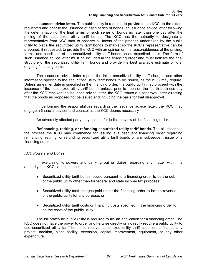**Issuance advice letter.** The public utility is required to provide to the KCC, to the extent requested and prior to the issuance of each series of bonds, an issuance advice letter following the determination of the final terms of such series of bonds no later than one day after the pricing of the securitized utility tariff bonds. The KCC has the authority to designate a representative from KCC staff to observe all facets of the process undertaken by the public utility to place the securitized utility tariff bonds to market so the KCC's representative can be prepared, if requested, to provide the KCC with an opinion on the reasonableness of the pricing, terms, and conditions of the securitized utility tariff bonds on an expedited basis. The form of such issuance advice letter must be included in the financing order and must indicate the final structure of the securitized utility tariff bonds and provide the best available estimate of total ongoing financing costs.

The issuance advice letter reports the initial securitized utility tariff charges and other information specific to the securitized utility tariff bonds to be issued, as the KCC may require. Unless an earlier date is specified in the financing order, the public utility may proceed with the issuance of the securitized utility tariff bonds unless, prior to noon on the fourth business day after the KCC receives the issuance advice letter, the KCC issues a disapproval letter directing that the bonds as proposed not be issued and including the basis for that disapproval.

In performing the responsibilities regarding the issuance advice letter, the KCC may engage a financial adviser and counsel as the KCC deems necessary.

An adversely affected party may petition for judicial review of the financing order.

**Refinancing, retiring, or refunding securitized utility tariff bonds.** The bill describes the process the KCC may commence for issuing a subsequent financing order regarding refinancing, retiring, or refunding securitized utility tariff bonds or any subsequent issue of a financing order.

## *KCC Powers and Duties*

In exercising its powers and carrying out its duties regarding any matter within its authority, the KCC cannot consider:

- Securitized utility tariff bonds issued pursuant to a financing order to be the debt of the public utility other than for federal and state income tax purposes;
- Securitized utility tariff charges paid under the financing order to be the revenue of the public utility for any purpose; or
- Securitized utility tariff costs or financing costs specified in the financing order to be the costs of the public utility.

The bill states no public utility is required to file an application for a financing order. The KCC does not have the power to order or otherwise directly or indirectly require a public utility to use securitized utility tariff bonds to recover securitized utility tariff costs or to finance any project, addition, plant, facility, extension, capital improvement, equipment, or any other expenditure.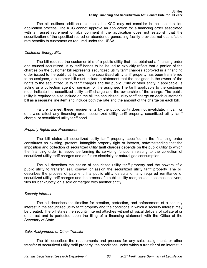The bill outlines additional elements the KCC may not consider in the securitization application process. The KCC cannot approve an application for a financing order associated with an asset retirement or abandonment if the application does not establish that the securitization of the specified retired or abandoned generating facility provides net quantifiable rate benefits to customers as required under the UFSA.

## *Customer Energy Bills*

The bill requires the customer bills of a public utility that has obtained a financing order and caused securitized utility tariff bonds to be issued to explicitly reflect that a portion of the charges on the customer bill represents securitized utility tariff charges approved in a financing order issued to the public utility, and, if the securitized utility tariff property has been transferred to an assignee, a customer bill must include a statement that the assignee is the owner of the rights to the securitized utility tariff charges and the public utility or other entity, if applicable, is acting as a collection agent or servicer for the assignee. The tariff applicable to the customer must indicate the securitized utility tariff charge and the ownership of the charge. The public utility is required to also include on the bill the securitized utility tariff charge on each customer's bill as a separate line item and include both the rate and the amount of the charge on each bill.

Failure to meet these requirements by the public utility does not invalidate, impair, or otherwise affect any financing order, securitized utility tariff property, securitized utility tariff charge, or securitized utility tariff bond.

## *Property Rights and Procedures*

The bill states all securitized utility tariff property specified in the financing order constitutes an existing, present, intangible property right or interest, notwithstanding that the imposition and collection of securitized utility tariff charges depends on the public utility to which the financing order is issued performing its servicing functions relating to the collection of securitized utility tariff charges and on future electricity or natural gas consumption.

The bill describes the nature of securitized utility tariff property and the powers of a public utility to transfer, sell, convey, or assign the securitized utility tariff property. The bill describes the process of payment if a public utility defaults on any required remittance of securitized utility tariff charges and the process if a public utility reorganizes, becomes insolvent, files for bankruptcy, or is sold or merged with another entity.

## *Security Interest*

The bill describes the timeline for creation, perfection, and enforcement of a security interest in the securitized utility tariff property and the conditions in which a security interest may be created. The bill states the security interest attaches without physical delivery of collateral or other act and is perfected upon the filing of a financing statement with the Office of the Secretary of State.

## *Sale, Assignment, or Other Transfer*

The bill describes the requirements and process for any sale, assignment, or other transfer of securitized utility tariff property, the conditions under which a transfer of an interest in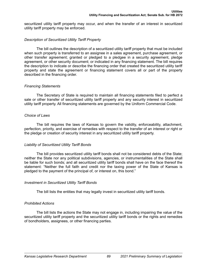securitized utility tariff property may occur, and when the transfer of an interest in securitized utility tariff property may be enforced.

## *Description of Securitized Utility Tariff Property*

The bill outlines the description of a securitized utility tariff property that must be included when such property is transferred to an assignee in a sales agreement, purchase agreement, or other transfer agreement; granted or pledged to a pledgee in a security agreement, pledge agreement, or other security document; or indicated in any financing statement. The bill requires the description to indicate or describe the financing order that created the securitized utility tariff property and state the agreement or financing statement covers all or part of the property described in the financing order.

## *Financing Statements*

The Secretary of State is required to maintain all financing statements filed to perfect a sale or other transfer of securitized utility tariff property and any security interest in securitized utility tariff property. All financing statements are governed by the Uniform Commercial Code.

## *Choice of Laws*

The bill requires the laws of Kansas to govern the validity, enforceability, attachment, perfection, priority, and exercise of remedies with respect to the transfer of an interest or right or the pledge or creation of security interest in any securitized utility tariff property.

## *Liability of Securitized Utility Tariff Bonds*

The bill provides securitized utility tariff bonds shall not be considered debts of the State; neither the State nor any political subdivisions, agencies, or instrumentalities of the State shall be liable for such bonds; and all securitized utility tariff bonds shall have on the face thereof the statement: "Neither the full faith and credit nor the taxing power of the State of Kansas is pledged to the payment of the principal of, or interest on, this bond."

## *Investment in Securitized Utility Tariff Bonds*

The bill lists the entities that may legally invest in securitized utility tariff bonds.

## *Prohibited Actions*

The bill lists the actions the State may not engage in, including impairing the value of the securitized utility tariff property and the securitized utility tariff bonds or the rights and remedies of bondholders, assignees, or other financing parties.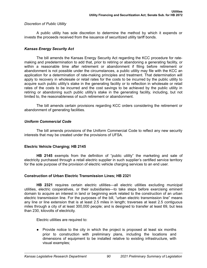## <span id="page-94-0"></span>*Discretion of Public Utility*

A public utility has sole discretion to determine the method by which it expends or invests the proceeds received from the issuance of securitized utility tariff bonds.

## *Kansas Energy Security Act*

The bill amends the Kansas Energy Security Act regarding the KCC procedure for ratemaking and predetermination to add that, prior to retiring or abandoning a generating facility, or within a reasonable time after retirement or abandonment if filing before retirement or abandonment is not possible under the circumstances, a public utility may file with the KCC an application for a determination of rate-making principles and treatment. That determination will apply to recovery in wholesale or retail rates for the costs to be incurred by the public utility to acquire such public utility's stake in the generating facility or to reflection in wholesale or retail rates of the costs to be incurred and the cost savings to be achieved by the public utility in retiring or abandoning such public utility's stake in the generating facility, including, but not limited to, the reasonableness of such retirement or abandonment.

The bill amends certain provisions regarding KCC orders considering the retirement or abandonment of generating facilities.

## *Uniform Commercial Code*

The bill amends provisions of the Uniform Commercial Code to reflect any new security interests that may be created under the provisions of UFSA.

## **Electric Vehicle Charging; HB 2145**

**HB 2145** exempts from the definition of "public utility" the marketing and sale of electricity purchased through a retail electric supplier in such supplier's certified service territory for the sole purpose of the provision of electric vehicle charging services to an end user.

## **Construction of Urban Electric Transmission Lines; HB 2321**

**HB 2321** requires certain electric utilities—all electric utilities excluding municipal utilities, electric cooperatives, or their subsidiaries—to take steps before exercising eminent domain to acquire an interest in land or beginning work related to the construction of an urban electric transmission line. For the purposes of the bill, "urban electric transmission line" means any line or line extension that is at least 2.5 miles in length; traverses at least 2.5 contiguous miles through a city of at least 300,000 people; and is designed to transfer at least 69, but less than 230, kilovolts of electricity.

Electric utilities are required to:

● Provide notice to the city in which the project is proposed at least six months prior to construction with preliminary plans, including the locations and dimensions of equipment to be installed relative to existing infrastructure, with visual examples;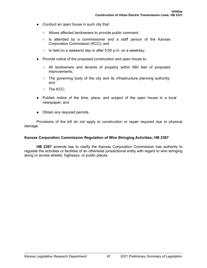- <span id="page-95-0"></span>● Conduct an open house in such city that:
	- Allows affected landowners to provide public comment;
	- $\circ$  Is attended by a commissioner and a staff person of the Kansas Corporation Commission (KCC); and
	- Is held on a weekend day or after 5:00 p.m. on a weekday;
- Provide notice of the proposed construction and open house to:
	- All landowners and tenants of property within 660 feet of proposed improvements;
	- The governing body of the city and its infrastructure planning authority; and
	- The KCC;
- Publish notice of the time, place, and subject of the open house in a local newspaper; and
- Obtain any required permits.

Provisions of the bill do not apply to construction or repair required due to physical damage.

## **Kansas Corporation Commission Regulation of Wire Stringing Activities; HB 2367**

**HB 2367** amends law to clarify the Kansas Corporation Commission has authority to regulate the activities or facilities of an otherwise jurisdictional entity with regard to wire stringing along or across streets, highways, or public places.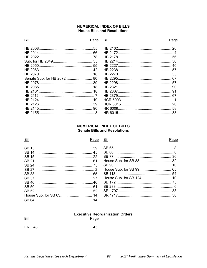## **NUMERICAL INDEX OF BILLS House Bills and Resolutions**

#### Bill

#### Page Bill

## Page

| Senate Sub. for HB 2072 80 |  |
|----------------------------|--|
|                            |  |
|                            |  |
|                            |  |
|                            |  |
|                            |  |
|                            |  |
|                            |  |
|                            |  |
|                            |  |

## **NUMERICAL INDEX OF BILLS Senate Bills and Resolutions**

| Bill | Page | Bill | 'aα |
|------|------|------|-----|
|      |      |      |     |
|      |      |      |     |
|      |      |      |     |
|      |      |      |     |
|      |      |      |     |
|      |      |      |     |
|      |      |      |     |
|      |      |      |     |
|      |      |      |     |
|      |      |      |     |
|      |      |      |     |
|      |      |      |     |
|      |      |      |     |

## **Executive Reorganization Orders**

Bill

Page

Page